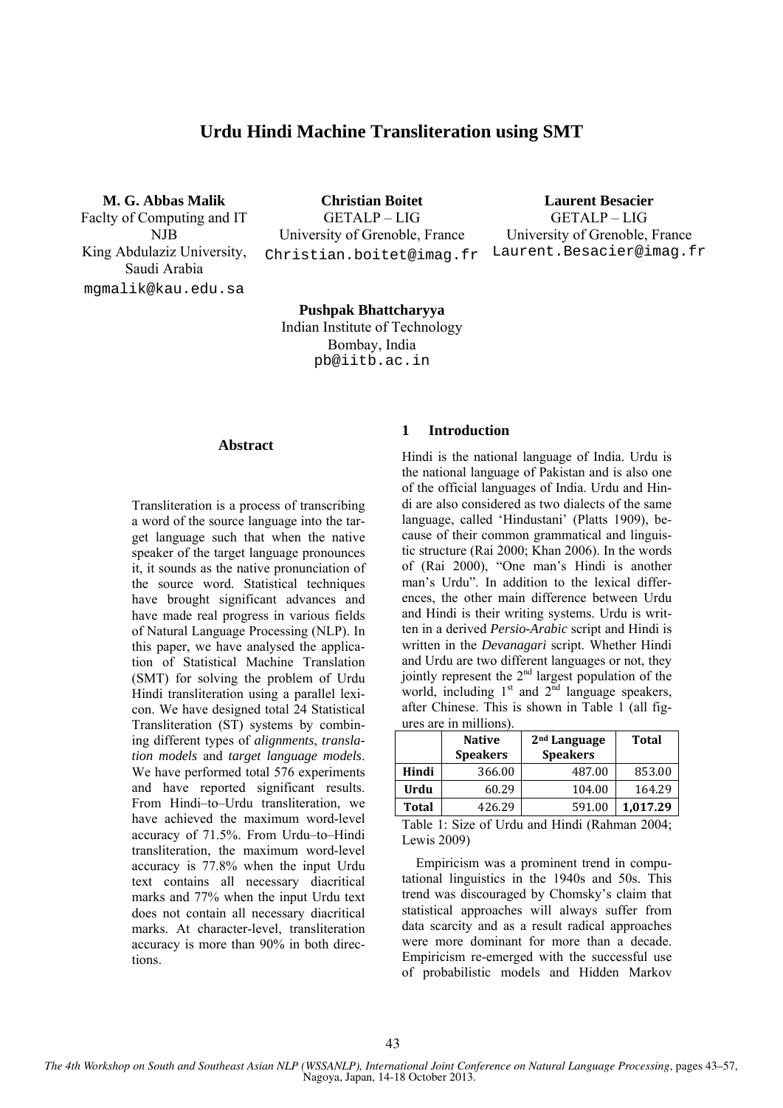# **Urdu Hindi Machine Transliteration using SMT**

**M. G. Abbas Malik**  Faclty of Computing and IT NJB King Abdulaziz University, Saudi Arabia mgmalik@kau.edu.sa

**Christian Boitet**  GETALP – LIG University of Grenoble, France Christian.boitet@imag.fr

**Laurent Besacier**  GETALP – LIG University of Grenoble, France Laurent.Besacier@imag.fr

 **Pushpak Bhattcharyya**  Indian Institute of Technology Bombay, India pb@iitb.ac.in

#### **Abstract**

Transliteration is a process of transcribing a word of the source language into the target language such that when the native speaker of the target language pronounces it, it sounds as the native pronunciation of the source word. Statistical techniques have brought significant advances and have made real progress in various fields of Natural Language Processing (NLP). In this paper, we have analysed the application of Statistical Machine Translation (SMT) for solving the problem of Urdu Hindi transliteration using a parallel lexicon. We have designed total 24 Statistical Transliteration (ST) systems by combining different types of *alignments*, *translation models* and *target language models*. We have performed total 576 experiments and have reported significant results. From Hindi–to–Urdu transliteration, we have achieved the maximum word-level accuracy of 71.5%. From Urdu–to–Hindi transliteration, the maximum word-level accuracy is 77.8% when the input Urdu text contains all necessary diacritical marks and 77% when the input Urdu text does not contain all necessary diacritical marks. At character-level, transliteration accuracy is more than 90% in both directions.

### **1 Introduction**

Hindi is the national language of India. Urdu is the national language of Pakistan and is also one of the official languages of India. Urdu and Hindi are also considered as two dialects of the same language, called 'Hindustani' (Platts 1909), because of their common grammatical and linguistic structure (Rai 2000; Khan 2006). In the words of (Rai 2000), "One man's Hindi is another man's Urdu". In addition to the lexical differences, the other main difference between Urdu and Hindi is their writing systems. Urdu is written in a derived *Persio-Arabic* script and Hindi is written in the *Devanagari* script. Whether Hindi and Urdu are two different languages or not, they jointly represent the  $2<sup>nd</sup>$  largest population of the world, including  $1<sup>st</sup>$  and  $2<sup>nd</sup>$  language speakers, after Chinese. This is shown in Table 1 (all figures are in millions).

| <b>Native</b><br><b>Speakers</b> |        | 2 <sup>nd</sup> Language<br><b>Speakers</b> | Total    |  |  |
|----------------------------------|--------|---------------------------------------------|----------|--|--|
| Hindi                            | 366.00 | 487.00                                      | 853.00   |  |  |
| Urdu                             | 60.29  | 104.00                                      | 164.29   |  |  |
| <b>Total</b>                     | 426.29 | 591.00                                      | 1,017.29 |  |  |

Table 1: Size of Urdu and Hindi (Rahman 2004; Lewis 2009)

Empiricism was a prominent trend in computational linguistics in the 1940s and 50s. This trend was discouraged by Chomsky's claim that statistical approaches will always suffer from data scarcity and as a result radical approaches were more dominant for more than a decade. Empiricism re-emerged with the successful use of probabilistic models and Hidden Markov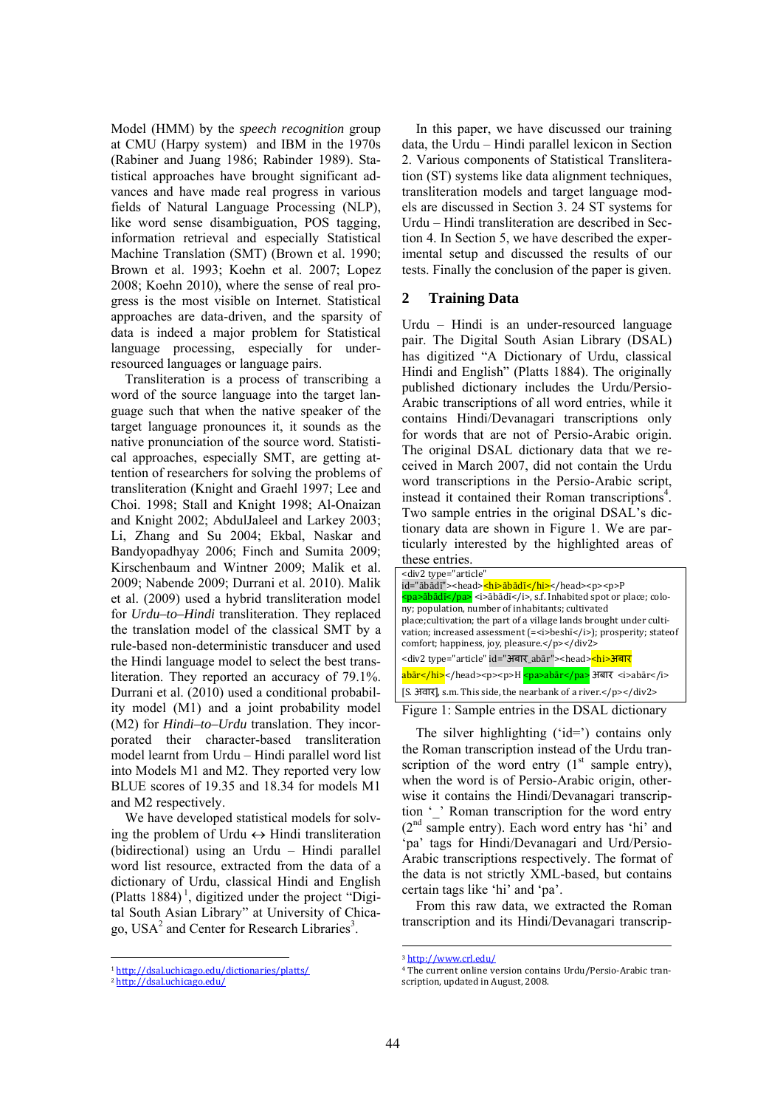Model (HMM) by the *speech recognition* group at CMU (Harpy system) and IBM in the 1970s (Rabiner and Juang 1986; Rabinder 1989). Statistical approaches have brought significant advances and have made real progress in various fields of Natural Language Processing (NLP), like word sense disambiguation, POS tagging, information retrieval and especially Statistical Machine Translation (SMT) (Brown et al. 1990; Brown et al. 1993; Koehn et al. 2007; Lopez 2008; Koehn 2010), where the sense of real progress is the most visible on Internet. Statistical approaches are data-driven, and the sparsity of data is indeed a major problem for Statistical language processing, especially for underresourced languages or language pairs.

Transliteration is a process of transcribing a word of the source language into the target language such that when the native speaker of the target language pronounces it, it sounds as the native pronunciation of the source word. Statistical approaches, especially SMT, are getting attention of researchers for solving the problems of transliteration (Knight and Graehl 1997; Lee and Choi. 1998; Stall and Knight 1998; Al-Onaizan and Knight 2002; AbdulJaleel and Larkey 2003; Li, Zhang and Su 2004; Ekbal, Naskar and Bandyopadhyay 2006; Finch and Sumita 2009; Kirschenbaum and Wintner 2009; Malik et al. 2009; Nabende 2009; Durrani et al. 2010). Malik et al. (2009) used a hybrid transliteration model for *Urdu–to–Hindi* transliteration. They replaced the translation model of the classical SMT by a rule-based non-deterministic transducer and used the Hindi language model to select the best transliteration. They reported an accuracy of 79.1%. Durrani et al. (2010) used a conditional probability model (M1) and a joint probability model (M2) for *Hindi–to–Urdu* translation. They incorporated their character-based transliteration model learnt from Urdu – Hindi parallel word list into Models M1 and M2. They reported very low BLUE scores of 19.35 and 18.34 for models M1 and M2 respectively.

We have developed statistical models for solving the problem of Urdu  $\leftrightarrow$  Hindi transliteration (bidirectional) using an Urdu – Hindi parallel word list resource, extracted from the data of a dictionary of Urdu, classical Hindi and English (Platts  $1884$ )<sup> $\text{I}$ </sup>, digitized under the project "Digital South Asian Library" at University of Chicago, USA<sup>2</sup> and Center for Research Libraries<sup>3</sup>.

<sup>1</sup> http://dsal.uchicago.edu/dictionaries/platts/

In this paper, we have discussed our training data, the Urdu – Hindi parallel lexicon in Section 2. Various components of Statistical Transliteration (ST) systems like data alignment techniques, transliteration models and target language models are discussed in Section 3. 24 ST systems for Urdu – Hindi transliteration are described in Section 4. In Section 5, we have described the experimental setup and discussed the results of our tests. Finally the conclusion of the paper is given.

#### **2 Training Data**

Urdu – Hindi is an under-resourced language pair. The Digital South Asian Library (DSAL) has digitized "A Dictionary of Urdu, classical Hindi and English" (Platts 1884). The originally published dictionary includes the Urdu/Persio-Arabic transcriptions of all word entries, while it contains Hindi/Devanagari transcriptions only for words that are not of Persio-Arabic origin. The original DSAL dictionary data that we received in March 2007, did not contain the Urdu word transcriptions in the Persio-Arabic script, instead it contained their Roman transcriptions<sup>4</sup>. Two sample entries in the original DSAL's dictionary data are shown in Figure 1. We are particularly interested by the highlighted areas of these entries.

| <div2 <="" td="" type="article"></div2>                                                                                                          |  |  |  |  |  |  |
|--------------------------------------------------------------------------------------------------------------------------------------------------|--|--|--|--|--|--|
| id="ābādī"> <head><hi>ābādī</hi></head> <p><p>P</p></p>                                                                                          |  |  |  |  |  |  |
| <pa>ābādī</pa> <i>ābādī</i> , s.f. Inhabited spot or place; colo-                                                                                |  |  |  |  |  |  |
| ny; population, number of inhabitants; cultivated                                                                                                |  |  |  |  |  |  |
| place; cultivation; the part of a village lands brought under culti-                                                                             |  |  |  |  |  |  |
| vation; increased assessment (= <i>beshi</i> >/; prosperity; stateof                                                                             |  |  |  |  |  |  |
| comfort; happiness, joy, pleasure.                                                                                                               |  |  |  |  |  |  |
| <div2 id="अबार_abār" type="article"><head><hi>अबार</hi></head></div2>                                                                            |  |  |  |  |  |  |
| abār <p><p>H <pa>abār</pa> अबार <i>abār</i></p></p>                                                                                              |  |  |  |  |  |  |
| $[S. 3\overline{q} \overline{q} \overline{q}]$ , s.m. This side, the nearbank of a river. $\langle p \rangle$ = $\langle \frac{div2}{q} \rangle$ |  |  |  |  |  |  |
|                                                                                                                                                  |  |  |  |  |  |  |

Figure 1: Sample entries in the DSAL dictionary

The silver highlighting ('id=') contains only the Roman transcription instead of the Urdu transcription of the word entry  $(1<sup>st</sup>$  sample entry), when the word is of Persio-Arabic origin, otherwise it contains the Hindi/Devanagari transcription '\_' Roman transcription for the word entry (2nd sample entry). Each word entry has 'hi' and 'pa' tags for Hindi/Devanagari and Urd/Persio-Arabic transcriptions respectively. The format of the data is not strictly XML-based, but contains certain tags like 'hi' and 'pa'.

From this raw data, we extracted the Roman transcription and its Hindi/Devanagari transcrip-

<sup>2</sup> http://dsal.uchicago.edu/ 

<sup>3</sup> http://www.crl.edu/

<sup>&</sup>lt;sup>4</sup> The current online version contains Urdu/Persio-Arabic transcription, updated in August, 2008.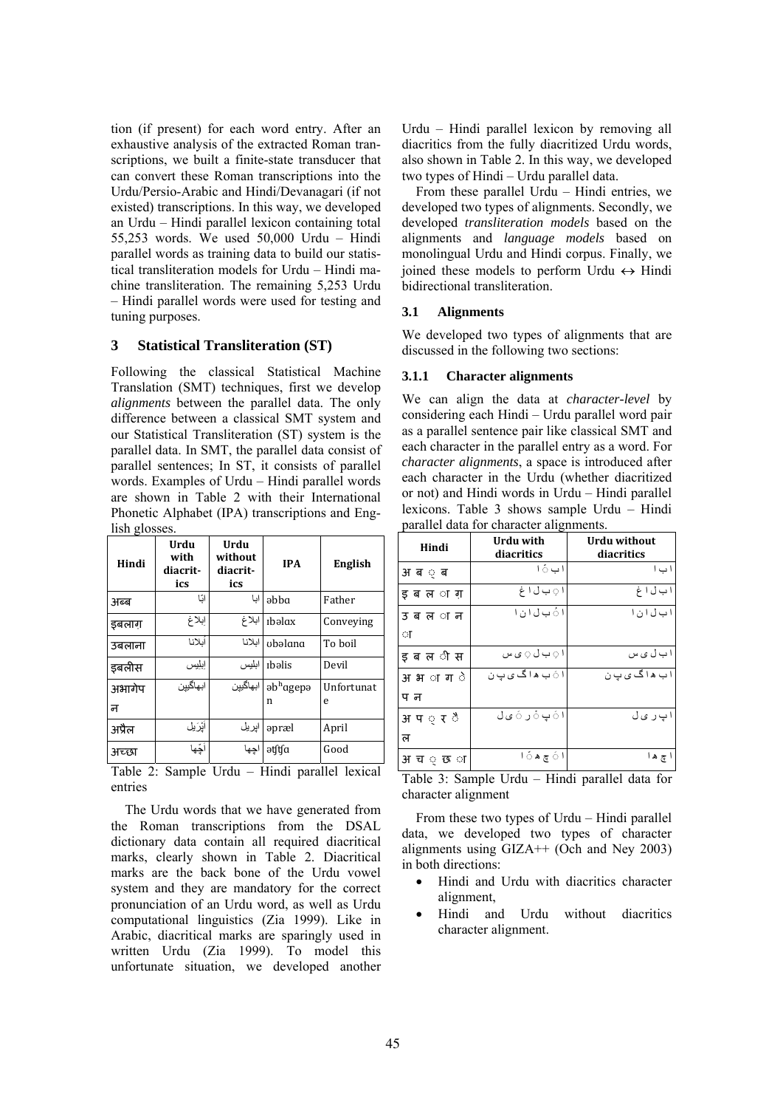tion (if present) for each word entry. After an exhaustive analysis of the extracted Roman transcriptions, we built a finite-state transducer that can convert these Roman transcriptions into the Urdu/Persio-Arabic and Hindi/Devanagari (if not existed) transcriptions. In this way, we developed an Urdu – Hindi parallel lexicon containing total 55,253 words. We used 50,000 Urdu – Hindi parallel words as training data to build our statistical transliteration models for Urdu – Hindi machine transliteration. The remaining 5,253 Urdu – Hindi parallel words were used for testing and tuning purposes.

### **3 Statistical Transliteration (ST)**

Following the classical Statistical Machine Translation (SMT) techniques, first we develop *alignments* between the parallel data. The only difference between a classical SMT system and our Statistical Transliteration (ST) system is the parallel data. In SMT, the parallel data consist of parallel sentences; In ST, it consists of parallel words. Examples of Urdu – Hindi parallel words are shown in Table 2 with their International Phonetic Alphabet (IPA) transcriptions and English glosses.

| Hindi  | Urdu<br>with<br>diacrit-<br>ics | Urdu<br>without<br>diacrit-<br>ics | <b>IPA</b>                       | English    |  |
|--------|---------------------------------|------------------------------------|----------------------------------|------------|--|
| अब्ब   | اٽا                             | ایا                                | əbba                             | Father     |  |
| डबलाग  | إبلاغ                           | ابلاغ                              | rbəlax                           | Conveying  |  |
| उबलाना | أيلانا                          | انلانا                             | ubəlana                          | To boil    |  |
| इबलीस  | إبليس                           | ابليس                              | rbəlis                           | Devil      |  |
| अभागेप | ابهاگيين                        | ابهاگیین                           | $\mathsf{ab}^{\mathrm{h}}$ agepə | Unfortunat |  |
| न      |                                 |                                    | n                                | e          |  |
| अप्रैल | أَيْرَيْل                       | اپريل                              | əpræl                            | April      |  |
| अच्छा  | أَجِّها                         | اجها                               | ətftfa                           | Good       |  |

Table 2: Sample Urdu – Hindi parallel lexical entries

The Urdu words that we have generated from the Roman transcriptions from the DSAL dictionary data contain all required diacritical marks, clearly shown in Table 2. Diacritical marks are the back bone of the Urdu vowel system and they are mandatory for the correct pronunciation of an Urdu word, as well as Urdu computational linguistics (Zia 1999). Like in Arabic, diacritical marks are sparingly used in written Urdu (Zia 1999). To model this unfortunate situation, we developed another Urdu – Hindi parallel lexicon by removing all diacritics from the fully diacritized Urdu words, also shown in Table 2. In this way, we developed two types of Hindi – Urdu parallel data.

From these parallel Urdu – Hindi entries, we developed two types of alignments. Secondly, we developed *transliteration models* based on the alignments and *language models* based on monolingual Urdu and Hindi corpus. Finally, we ioined these models to perform Urdu  $\leftrightarrow$  Hindi bidirectional transliteration.

### **3.1 Alignments**

We developed two types of alignments that are discussed in the following two sections:

#### **3.1.1 Character alignments**

We can align the data at *character-level* by considering each Hindi – Urdu parallel word pair as a parallel sentence pair like classical SMT and each character in the parallel entry as a word. For *character alignments*, a space is introduced after each character in the Urdu (whether diacritized or not) and Hindi words in Urdu – Hindi parallel lexicons. Table 3 shows sample Urdu – Hindi parallel data for character alignments.

| Hindi          | Urdu with<br>diacritics | Urdu without<br>diacritics |
|----------------|-------------------------|----------------------------|
| अब ़ब          | ا ب ڻ ا                 | ا ب ا                      |
| ड ब ल ा ग      | ا پ ب ل ا غ             | ا ب ل ا غ                  |
| उबल ा न        | ا هُ ب ل ا ن ا          | ا ب ل ا ن ا                |
| ा              |                         |                            |
| इबल ीस         | ا ⊖ ٻ ل ⊝ ي س           | اب ل ی س                   |
| अभ <b>ाग</b> े | ا َ ب ھاگ <i>ی</i> بِ ن | اب ھاگ ی پ ن               |
| प न            |                         |                            |
| अप <i>्र</i> ै | ا هَ پ هُ ر هَ ی ل      | ا پ ر ی ل                  |
| ल              |                         |                            |
| अ च ं छ ा      | ا نَ ڇ ه نَ ا           | ا چ ه ا                    |

Table 3: Sample Urdu – Hindi parallel data for character alignment

From these two types of Urdu – Hindi parallel data, we developed two types of character alignments using  $GIZA++$  (Och and Ney 2003) in both directions:

- Hindi and Urdu with diacritics character alignment,
- Hindi and Urdu without diacritics character alignment.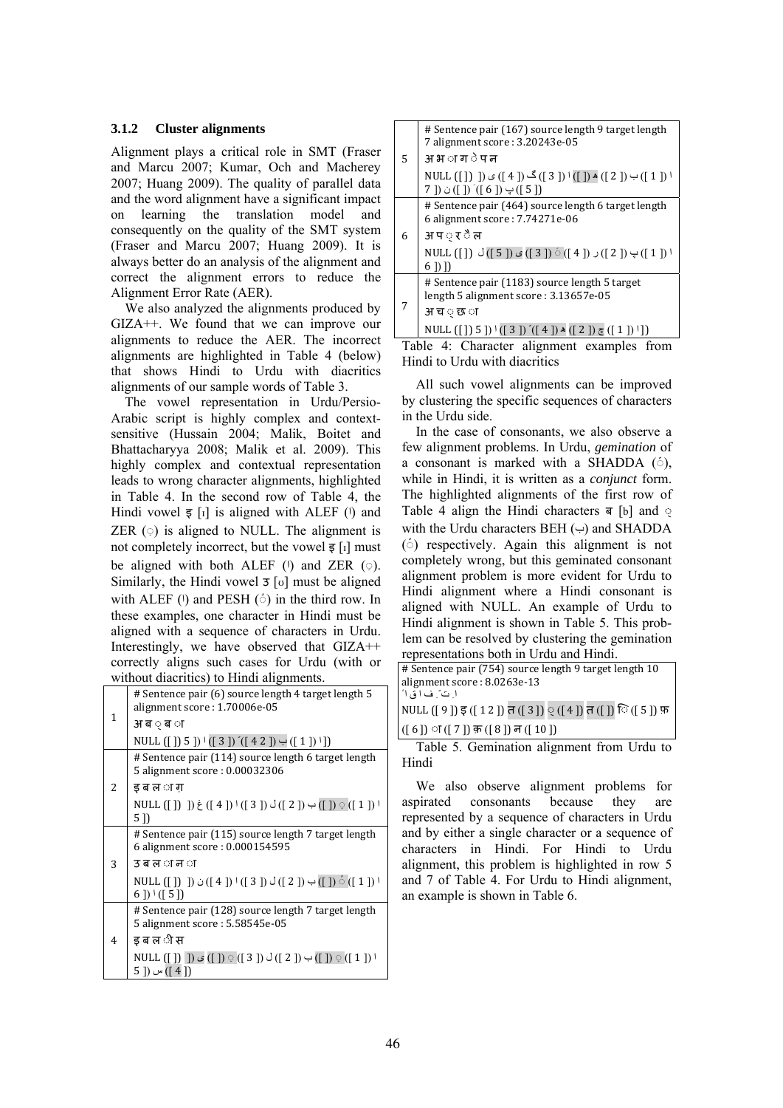### **3.1.2 Cluster alignments**

Alignment plays a critical role in SMT (Fraser and Marcu 2007; Kumar, Och and Macherey 2007; Huang 2009). The quality of parallel data and the word alignment have a significant impact on learning the translation model and consequently on the quality of the SMT system (Fraser and Marcu 2007; Huang 2009). It is always better do an analysis of the alignment and correct the alignment errors to reduce the Alignment Error Rate (AER).

We also analyzed the alignments produced by GIZA++. We found that we can improve our alignments to reduce the AER. The incorrect alignments are highlighted in Table 4 (below) that shows Hindi to Urdu with diacritics alignments of our sample words of Table 3.

The vowel representation in Urdu/Persio-Arabic script is highly complex and contextsensitive (Hussain 2004; Malik, Boitet and Bhattacharyya 2008; Malik et al. 2009). This highly complex and contextual representation leads to wrong character alignments, highlighted in Table 4. In the second row of Table 4, the Hindi vowel  $\overline{s}$  [i] is aligned with ALEF (i) and ZER  $(\circ)$  is aligned to NULL. The alignment is not completely incorrect, but the vowel  $\overline{\xi}$  [I] must be aligned with both ALEF  $(1)$  and ZER  $( \circ )$ . Similarly, the Hindi vowel  $\overline{3}$  [v] must be aligned with ALEF  $(1)$  and PESH  $(2)$  in the third row. In these examples, one character in Hindi must be aligned with a sequence of characters in Urdu. Interestingly, we have observed that GIZA++ correctly aligns such cases for Urdu (with or without diacritics) to Hindi alignments.

|              | whilout diacrities) to filliul alignments.                                                                                                                    |
|--------------|---------------------------------------------------------------------------------------------------------------------------------------------------------------|
| $\mathbf{1}$ | # Sentence pair (6) source length 4 target length 5<br>alignment score: 1.70006e-05                                                                           |
|              | अ ब ं ब ा                                                                                                                                                     |
|              | NULL ([]) 5 ]) $\cdot$ ([3]) $\cdot$ ([42]) $\cdot$ ([1]) $\cdot$ ])                                                                                          |
|              | # Sentence pair (114) source length 6 target length<br>5 alignment score: 0.00032306                                                                          |
| 2            | ड ब ल ा ग                                                                                                                                                     |
|              | NULL ([]) ]) $\dot{\xi}$ ([4]) $\frac{1}{3}$ ([2]) $\frac{1}{2}$ ([1]) $\frac{1}{2}$ ([1]) $\frac{1}{2}$<br>5 I)                                              |
|              | # Sentence pair (115) source length 7 target length<br>6 alignment score: 0.000154595                                                                         |
| 3            | उबल <i>ान</i> ा                                                                                                                                               |
|              | NULL ([ ]) ]) $\dot{\cup}$ ([ 4 ]) $\dot{\cup}$ ([ 3 ]) $\dot{\cup}$ ([ 2 ]) $\dot{\cup}$ ([ ]) $\dot{\circ}$ ([ 1 ]) $\dot{\cup}$<br>$6$ ]) $\frac{1}{15}$ ] |
| 4            | # Sentence pair (128) source length 7 target length<br>5 alignment score: 5.58545e-05                                                                         |
|              | इ ब ल ी स                                                                                                                                                     |
|              | NULL $([1] \bigcup ) \circ ([1] \circ ([3]) \circ ([2]) \circ ([1]) \circ ([1])$<br>([ 4 ]) س ([ 5                                                            |

| 5 | # Sentence pair (167) source length 9 target length<br>7 alignment score: 3.20243e-05<br>अ भ ा ग े प न          |  |  |
|---|-----------------------------------------------------------------------------------------------------------------|--|--|
|   | NULL ([ ]) ) → ([ 2 ]) ▲ ([ ]) ) گ ([ 4 ]) ک ([ 4 ]) ی ([ ( [ ]) ) HULL (<br>7 ]) $\psi$ ([ 6 ]) $\psi$ ([ 5 ]) |  |  |
| 6 | # Sentence pair (464) source length 6 target length<br>6 alignment score: 7.74271e-06<br>अ प ़ र ै ल            |  |  |
|   | NULL ([ ]) پ ([ 2 ]) ر ([ 4 ]) ( ( 3 ]) ی (( 3 ]) ( 3 ]) ( ( 4 ]) ( ( 3 ]) ( ( 4 ]) ( 9 ]) ( 4 ]) ( 4<br>6 [) ] |  |  |
| 7 | # Sentence pair (1183) source length 5 target<br>length 5 alignment score: 3.13657e-05                          |  |  |
|   | अ च ं छ ा                                                                                                       |  |  |
|   | NULL $([]) 5 ]$ <sup><math>(3 )</math></sup> $([4])$ $(2 )$ $(1 )$ $[1 ]$                                       |  |  |

Table 4: Character alignment examples from Hindi to Urdu with diacritics

All such vowel alignments can be improved by clustering the specific sequences of characters in the Urdu side.

In the case of consonants, we also observe a few alignment problems. In Urdu, *gemination* of a consonant is marked with a SHADDA  $(5)$ , while in Hindi, it is written as a *conjunct* form. The highlighted alignments of the first row of Table 4 align the Hindi characters ब [b] and with the Urdu characters BEH  $(\rightarrow)$  and SHADDA (◌ّ ) respectively. Again this alignment is not completely wrong, but this geminated consonant alignment problem is more evident for Urdu to Hindi alignment where a Hindi consonant is aligned with NULL. An example of Urdu to Hindi alignment is shown in Table 5. This problem can be resolved by clustering the gemination representations both in Urdu and Hindi.

| # Sentence pair (754) source length 9 target length 10 |
|--------------------------------------------------------|
| alignment score: 8.0263e-13                            |
| ا ت ً ف اق ا ً                                         |
| NULL ([9]) इ ([12]) त ([3]) ् ([4]) त ([]) ि ([5]) फ़  |
| $((6))$ ा $((7))$ क़ $((8))$ न $((10))$                |
| Table 5. Gemination alignment from Urdu to             |
| Hindi                                                  |

We also observe alignment problems for aspirated consonants because they are represented by a sequence of characters in Urdu and by either a single character or a sequence of characters in Hindi. For Hindi to Urdu alignment, this problem is highlighted in row 5 and 7 of Table 4. For Urdu to Hindi alignment, an example is shown in Table 6.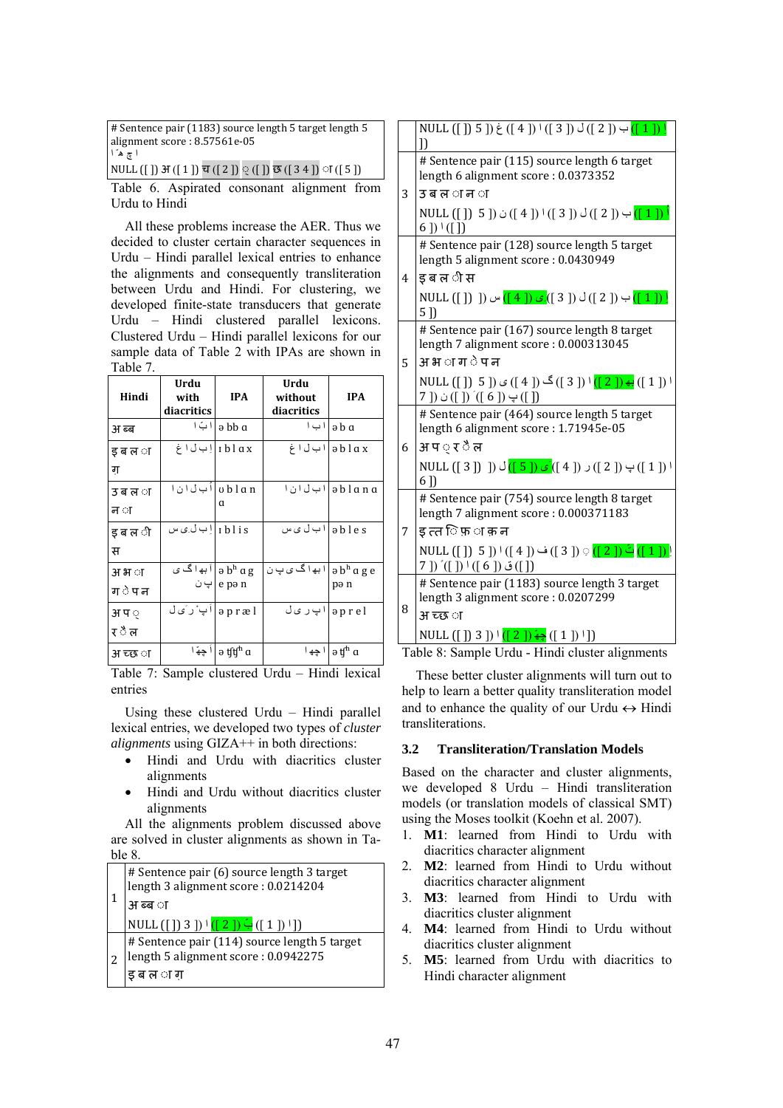| # Sentence pair (1183) source length 5 target length 5                                                            |  |  |  |  |  |  |  |
|-------------------------------------------------------------------------------------------------------------------|--|--|--|--|--|--|--|
| alignment score: 8.57561e-05                                                                                      |  |  |  |  |  |  |  |
| ا چ ه ّ ا                                                                                                         |  |  |  |  |  |  |  |
| NULL ([]) $\mathfrak{F}([1]) \overline{\mathfrak{v}}([2]) \otimes ([1]) \overline{\mathfrak{v}}([34]) \cap ([5])$ |  |  |  |  |  |  |  |

Table 6. Aspirated consonant alignment from Urdu to Hindi

All these problems increase the AER. Thus we decided to cluster certain character sequences in Urdu – Hindi parallel lexical entries to enhance the alignments and consequently transliteration between Urdu and Hindi. For clustering, we developed finite-state transducers that generate Urdu – Hindi clustered parallel lexicons. Clustered Urdu – Hindi parallel lexicons for our sample data of Table 2 with IPAs are shown in Table 7.

| Hindi            | Urdu<br>with<br>diacritics             | <b>IPA</b>                                   | Urdu<br>without<br>diacritics          | <b>IPA</b>                                  |  |
|------------------|----------------------------------------|----------------------------------------------|----------------------------------------|---------------------------------------------|--|
| अ ब्ब            | ا ۱ بّ                                 | ə bb a                                       | ا ۱ ب ۱                                | $\partial$ b $\alpha$                       |  |
| ड ब ल ा<br>ग     | iblax إبان اغ                          |                                              |                                        | ablax ابل اغ                                |  |
| उ ब ल ा<br>न ा   | ublan ابلان۱                           | a                                            |                                        | əblana ابلانا                               |  |
| इ ब ल ी<br>स     | rblis ابان ِی س                        |                                              | ables ابال ی س                         |                                             |  |
| अ भ ा<br>ग े प न | و b <sup>h</sup> a g أبها گ ي<br>ا پ ن | e pə n                                       | a bʰ a g e ابھ اگ ی پ ن $ $ a bʰ a g e | pə n                                        |  |
| अ प ़<br>र ै ल   | $ $ əpræl $ $ اَپ ٔرکی                 |                                              | ااپرىل                                 | aprel                                       |  |
| अ च्छ ा          |                                        | اً جهّ ا $\mathfrak{h}$ ə tʃt͡ʃ $^{\rm h}$ a |                                        | ا چھ ا جھ ا $\mathfrak{g}^{\mathfrak{n}}$ a |  |

Table 7: Sample clustered Urdu – Hindi lexical entries

Using these clustered Urdu – Hindi parallel lexical entries, we developed two types of *cluster alignments* using GIZA++ in both directions:

- Hindi and Urdu with diacritics cluster alignments
- Hindi and Urdu without diacritics cluster alignments

All the alignments problem discussed above are solved in cluster alignments as shown in Table 8.

| # Sentence pair (6) source length 3 target<br>length 3 alignment score: 0.0214204<br>अ ब्ब ा       |
|----------------------------------------------------------------------------------------------------|
| NULL ([]) 3 ]) $\cdot$ ([2]) $\div$ ([1]) <sup>1</sup> ])                                          |
| # Sentence pair (114) source length 5 target<br> length 5 alignment score : 0.0942275<br>ड ब ल ा ग |

|   | NULL $([]) 5 ]$ ) $\dot{\xi} ([4])   ([3]) \dot{\phi} ([2]) \rightarrow ([1]) !$<br>$\mathcal{D}$                                                                                                                                                                                        |
|---|------------------------------------------------------------------------------------------------------------------------------------------------------------------------------------------------------------------------------------------------------------------------------------------|
|   | # Sentence pair (115) source length 6 target<br>length 6 alignment score: 0.0373352                                                                                                                                                                                                      |
| 3 | उबल <i>ान</i> ा                                                                                                                                                                                                                                                                          |
|   | NULL ([ ]) 5 ]) ن ([ 4 ]) <sup> </sup> ([ 3 ]) ن ([ 4 ]) ن ([ 1 ]) أ<br>$6$ ]) $\frac{1}{1}$ ([])                                                                                                                                                                                        |
|   | # Sentence pair (128) source length 5 target<br>length 5 alignment score: 0.0430949                                                                                                                                                                                                      |
| 4 | इ ब ल <i>ी</i> स                                                                                                                                                                                                                                                                         |
|   | NULL ([ ]) ]) ب ([ 3 ]) أ $\mathcal{L}([3]) \cup \mathcal{L}([4])$ س ([ 1 ])<br>$5$ ]                                                                                                                                                                                                    |
|   | # Sentence pair (167) source length 8 target<br>length 7 alignment score: 0.000313045                                                                                                                                                                                                    |
| 5 | अ भ ा ग े प न                                                                                                                                                                                                                                                                            |
|   | ا ([ 1 ]) <mark>: ([ 2 ]) ا (</mark> [ 3 ]) گ ([ 4 ]) ی ([ 5 ]) د NULL ([ ]) 5 ])<br>([ ]) پ ([ 6 ]) ´([ 6 ]) ن ([ 7                                                                                                                                                                     |
|   | # Sentence pair (464) source length 5 target<br>length 6 alignment score: 1.71945e-05                                                                                                                                                                                                    |
| 6 | अ प ़ र ै ल                                                                                                                                                                                                                                                                              |
|   | NULL ([ 3 ]) پ ([ 2 ]) ر ([ 4 ]) ک ( <mark>[ 5 ])</mark> ل ([ 3 ]) NULL ([ 3 ]) )<br>$6$ ]                                                                                                                                                                                               |
|   | # Sentence pair (754) source length 8 target<br>length 7 alignment score: 0.000371183                                                                                                                                                                                                    |
| 7 | ड त्त ि फ़ ा क़ न                                                                                                                                                                                                                                                                        |
|   | ! ([ 1 ]) <mark>تُ ([ 2 ])</mark> ♀ ([ 3 ]) ف ([ 4 ]) ا ([ 5 ]) NULL ([ ])<br>([ ]) ق ([ 6 ]) <sup>(</sup> ([ ]) ([ 7                                                                                                                                                                    |
| 8 | # Sentence pair (1183) source length 3 target                                                                                                                                                                                                                                            |
|   | length 3 alignment score: 0.0207299                                                                                                                                                                                                                                                      |
|   | अ च्छ ा                                                                                                                                                                                                                                                                                  |
|   | NULL ([]) 3 ]) $\left(\left[\begin{array}{c}2\end{array}\right]\right)$ $\left(\left[\begin{array}{c}2\end{array}\right]\right)$ $\left(\left[\begin{array}{c}1\end{array}\right]\right)$ $\left[\begin{array}{c}1\end{array}\right]$<br>Table 8: Sample Urdu - Hindi cluster alionments |

Table 8: Sample Urdu - Hindi cluster alignments

These better cluster alignments will turn out to help to learn a better quality transliteration model and to enhance the quality of our Urdu  $\leftrightarrow$  Hindi transliterations.

# **3.2 Transliteration/Translation Models**

Based on the character and cluster alignments, we developed 8 Urdu – Hindi transliteration models (or translation models of classical SMT) using the Moses toolkit (Koehn et al. 2007).

- 1. **M1**: learned from Hindi to Urdu with diacritics character alignment
- 2. **M2**: learned from Hindi to Urdu without diacritics character alignment
- 3. **M3**: learned from Hindi to Urdu with diacritics cluster alignment
- 4. **M4**: learned from Hindi to Urdu without diacritics cluster alignment
- 5. **M5**: learned from Urdu with diacritics to Hindi character alignment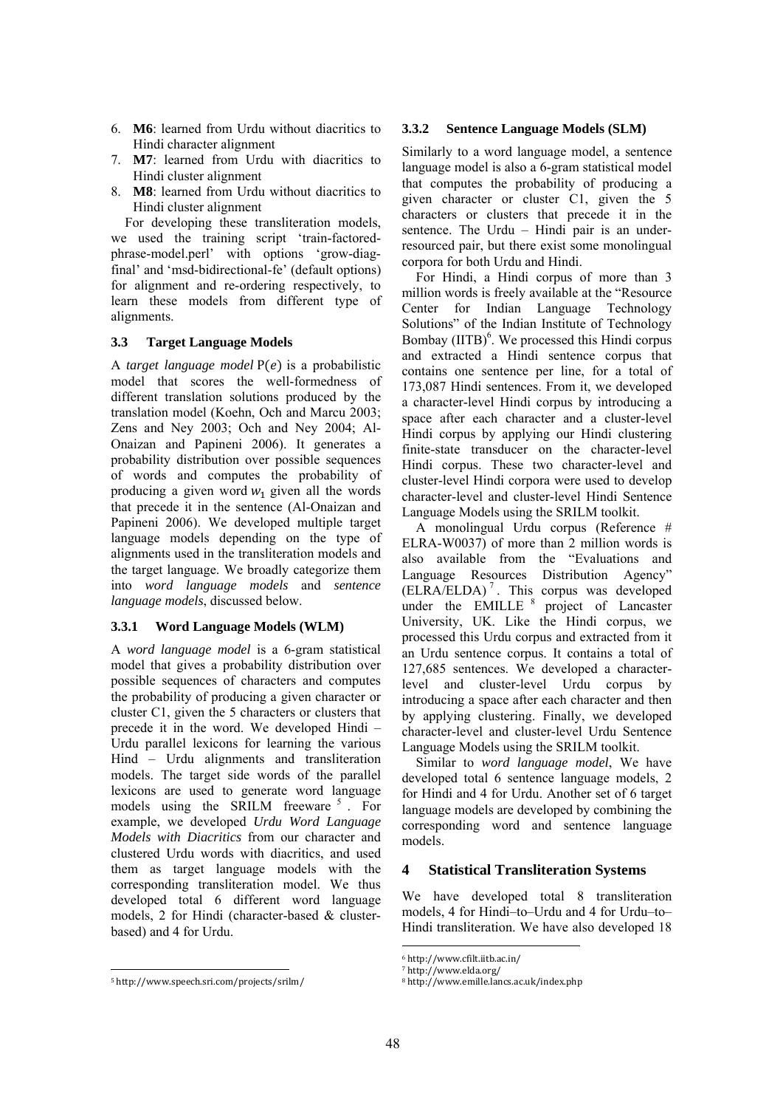- 6. **M6**: learned from Urdu without diacritics to Hindi character alignment
- 7. **M7**: learned from Urdu with diacritics to Hindi cluster alignment
- 8. **M8**: learned from Urdu without diacritics to Hindi cluster alignment

For developing these transliteration models, we used the training script 'train-factoredphrase-model.perl' with options 'grow-diagfinal' and 'msd-bidirectional-fe' (default options) for alignment and re-ordering respectively, to learn these models from different type of alignments.

# **3.3 Target Language Models**

A *target language model* P(*e*) is a probabilistic model that scores the well-formedness of different translation solutions produced by the translation model (Koehn, Och and Marcu 2003; Zens and Ney 2003; Och and Ney 2004; Al-Onaizan and Papineni 2006). It generates a probability distribution over possible sequences of words and computes the probability of producing a given word  $w_1$  given all the words that precede it in the sentence (Al-Onaizan and Papineni 2006). We developed multiple target language models depending on the type of alignments used in the transliteration models and the target language. We broadly categorize them into *word language models* and *sentence language models*, discussed below.

# **3.3.1 Word Language Models (WLM)**

A *word language model* is a 6-gram statistical model that gives a probability distribution over possible sequences of characters and computes the probability of producing a given character or cluster C1, given the 5 characters or clusters that precede it in the word. We developed Hindi – Urdu parallel lexicons for learning the various Hind – Urdu alignments and transliteration models. The target side words of the parallel lexicons are used to generate word language models using the SRILM freeware <sup>5</sup>. For example, we developed *Urdu Word Language Models with Diacritics* from our character and clustered Urdu words with diacritics, and used them as target language models with the corresponding transliteration model. We thus developed total 6 different word language models, 2 for Hindi (character-based & clusterbased) and 4 for Urdu.

#### 5 http://www.speech.sri.com/projects/srilm/

### **3.3.2 Sentence Language Models (SLM)**

Similarly to a word language model, a sentence language model is also a 6-gram statistical model that computes the probability of producing a given character or cluster C1, given the 5 characters or clusters that precede it in the sentence. The Urdu – Hindi pair is an underresourced pair, but there exist some monolingual corpora for both Urdu and Hindi.

For Hindi, a Hindi corpus of more than 3 million words is freely available at the "Resource Center for Indian Language Technology Solutions" of the Indian Institute of Technology Bombay  $(IIIB)$ <sup>6</sup>. We processed this Hindi corpus and extracted a Hindi sentence corpus that contains one sentence per line, for a total of 173,087 Hindi sentences. From it, we developed a character-level Hindi corpus by introducing a space after each character and a cluster-level Hindi corpus by applying our Hindi clustering finite-state transducer on the character-level Hindi corpus. These two character-level and cluster-level Hindi corpora were used to develop character-level and cluster-level Hindi Sentence Language Models using the SRILM toolkit.

A monolingual Urdu corpus (Reference # ELRA-W0037) of more than 2 million words is also available from the "Evaluations and Language Resources Distribution Agency" (ELRA/ELDA) <sup>7</sup> . This corpus was developed under the EMILLE<sup>8</sup> project of Lancaster University, UK. Like the Hindi corpus, we processed this Urdu corpus and extracted from it an Urdu sentence corpus. It contains a total of 127,685 sentences. We developed a characterlevel and cluster-level Urdu corpus by introducing a space after each character and then by applying clustering. Finally, we developed character-level and cluster-level Urdu Sentence Language Models using the SRILM toolkit.

Similar to *word language model*, We have developed total 6 sentence language models, 2 for Hindi and 4 for Urdu. Another set of 6 target language models are developed by combining the corresponding word and sentence language models.

### **4 Statistical Transliteration Systems**

We have developed total 8 transliteration models, 4 for Hindi–to–Urdu and 4 for Urdu–to– Hindi transliteration. We have also developed 18

<sup>6</sup> http://www.cfilt.iitb.ac.in/ 

<sup>7</sup> http://www.elda.org/ 

<sup>8</sup> http://www.emille.lancs.ac.uk/index.php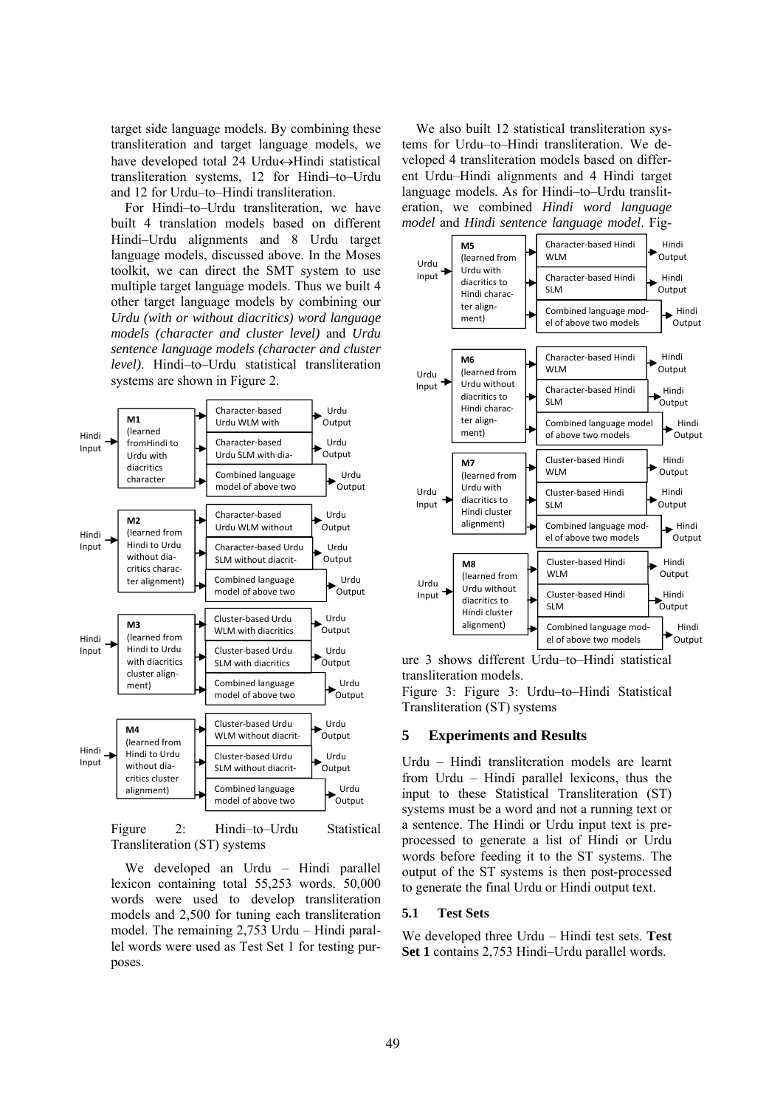target side language models. By combining these transliteration and target language models, we have developed total 24 Urdu $\leftrightarrow$ Hindi statistical transliteration systems, 12 for Hindi–to–Urdu and 12 for Urdu–to–Hindi transliteration.

For Hindi–to–Urdu transliteration, we have built 4 translation models based on different Hindi–Urdu alignments and 8 Urdu target language models, discussed above. In the Moses toolkit, we can direct the SMT system to use multiple target language models. Thus we built 4 other target language models by combining our *Urdu (with or without diacritics) word language models (character and cluster level)* and *Urdu sentence language models (character and cluster level)*. Hindi–to–Urdu statistical transliteration systems are shown in Figure 2.



Figure 2: Hindi–to–Urdu Statistical Transliteration (ST) systems

We developed an Urdu – Hindi parallel lexicon containing total 55,253 words. 50,000 words were used to develop transliteration models and 2,500 for tuning each transliteration model. The remaining 2,753 Urdu – Hindi parallel words were used as Test Set 1 for testing purposes.

We also built 12 statistical transliteration systems for Urdu–to–Hindi transliteration. We developed 4 transliteration models based on different Urdu–Hindi alignments and 4 Hindi target language models. As for Hindi–to–Urdu transliteration, we combined *Hindi word language model* and *Hindi sentence language model*. Fig-



ure 3 shows different Urdu–to–Hindi statistical transliteration models.

Figure 3: Figure 3: Urdu–to–Hindi Statistical Transliteration (ST) systems

#### **5 Experiments and Results**

Urdu – Hindi transliteration models are learnt from Urdu – Hindi parallel lexicons, thus the input to these Statistical Transliteration (ST) systems must be a word and not a running text or a sentence. The Hindi or Urdu input text is preprocessed to generate a list of Hindi or Urdu words before feeding it to the ST systems. The output of the ST systems is then post-processed to generate the final Urdu or Hindi output text.

#### **5.1 Test Sets**

We developed three Urdu – Hindi test sets. **Test Set 1** contains 2,753 Hindi–Urdu parallel words.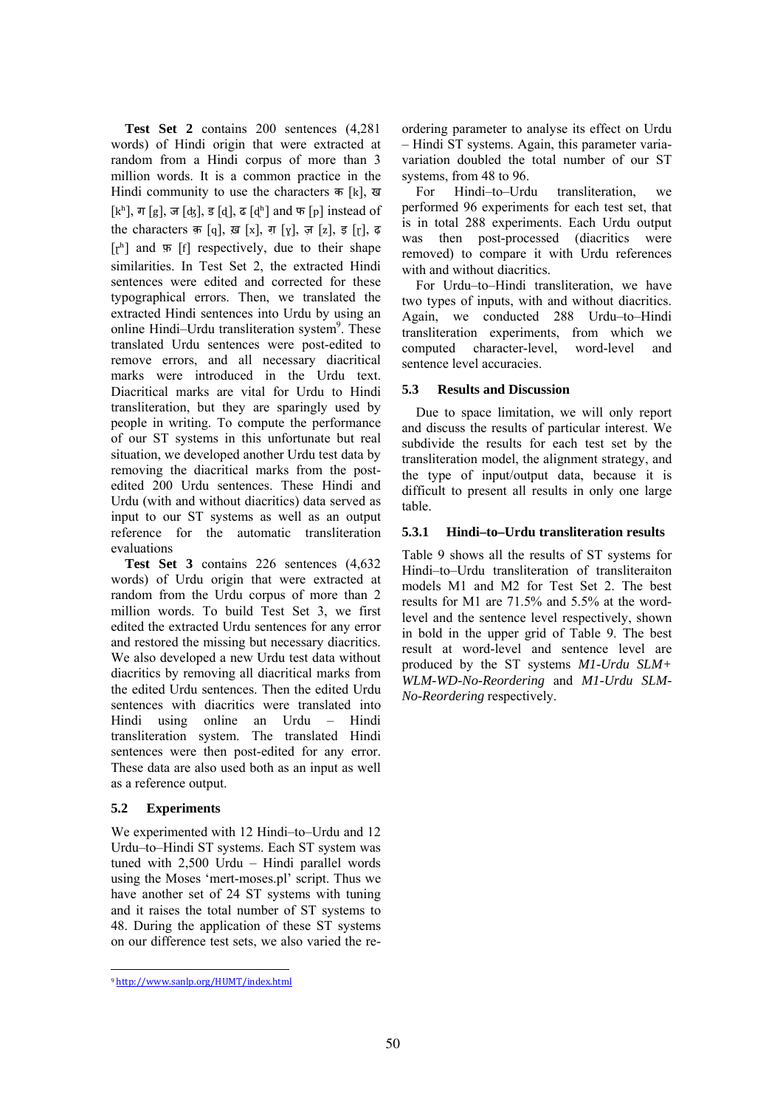**Test Set 2** contains 200 sentences (4,281 words) of Hindi origin that were extracted at random from a Hindi corpus of more than 3 million words. It is a common practice in the Hindi community to use the characters क [k], ख [kʰ], ग [g], ज [ʤ], ड [d̩], ढ [dʰ] and फ [p] instead of the characters क़ [q], ख़ [x], ग़ [y], ज़ [z], इ [r], ढ़  $[r<sup>h</sup>]$  and  $\overline{r}$  [f] respectively, due to their shape similarities. In Test Set 2, the extracted Hindi sentences were edited and corrected for these typographical errors. Then, we translated the extracted Hindi sentences into Urdu by using an online Hindi-Urdu transliteration system<sup>9</sup>. These translated Urdu sentences were post-edited to remove errors, and all necessary diacritical marks were introduced in the Urdu text. Diacritical marks are vital for Urdu to Hindi transliteration, but they are sparingly used by people in writing. To compute the performance of our ST systems in this unfortunate but real situation, we developed another Urdu test data by removing the diacritical marks from the postedited 200 Urdu sentences. These Hindi and Urdu (with and without diacritics) data served as input to our ST systems as well as an output reference for the automatic transliteration evaluations

**Test Set 3** contains 226 sentences (4,632 words) of Urdu origin that were extracted at random from the Urdu corpus of more than 2 million words. To build Test Set 3, we first edited the extracted Urdu sentences for any error and restored the missing but necessary diacritics. We also developed a new Urdu test data without diacritics by removing all diacritical marks from the edited Urdu sentences. Then the edited Urdu sentences with diacritics were translated into Hindi using online an Urdu – Hindi transliteration system. The translated Hindi sentences were then post-edited for any error. These data are also used both as an input as well as a reference output.

# **5.2 Experiments**

We experimented with 12 Hindi–to–Urdu and 12 Urdu–to–Hindi ST systems. Each ST system was tuned with 2,500 Urdu – Hindi parallel words using the Moses 'mert-moses.pl' script. Thus we have another set of 24 ST systems with tuning and it raises the total number of ST systems to 48. During the application of these ST systems on our difference test sets, we also varied the reordering parameter to analyse its effect on Urdu – Hindi ST systems. Again, this parameter variavariation doubled the total number of our ST systems, from 48 to 96.

For Hindi–to–Urdu transliteration, we performed 96 experiments for each test set, that is in total 288 experiments. Each Urdu output was then post-processed (diacritics were removed) to compare it with Urdu references with and without diacritics.

For Urdu–to–Hindi transliteration, we have two types of inputs, with and without diacritics. Again, we conducted 288 Urdu–to–Hindi transliteration experiments, from which we computed character-level, word-level and sentence level accuracies.

# **5.3 Results and Discussion**

Due to space limitation, we will only report and discuss the results of particular interest. We subdivide the results for each test set by the transliteration model, the alignment strategy, and the type of input/output data, because it is difficult to present all results in only one large table.

# **5.3.1 Hindi–to–Urdu transliteration results**

Table 9 shows all the results of ST systems for Hindi–to–Urdu transliteration of transliteraiton models M1 and M2 for Test Set 2. The best results for M1 are 71.5% and 5.5% at the wordlevel and the sentence level respectively, shown in bold in the upper grid of Table 9. The best result at word-level and sentence level are produced by the ST systems *M1-Urdu SLM+ WLM-WD-No-Reordering* and *M1-Urdu SLM-No-Reordering* respectively.

 <sup>9</sup> http://www.sanlp.org/HUMT/index.html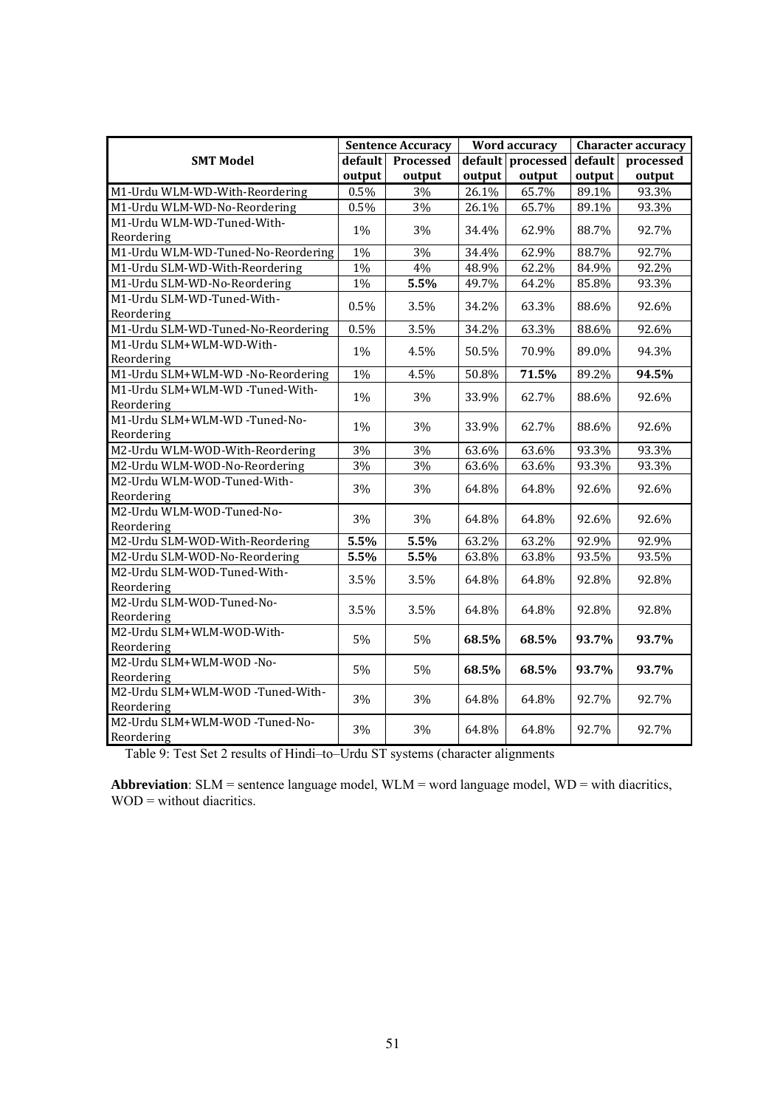|                                    | <b>Sentence Accuracy</b> |                   | Word accuracy |                   | <b>Character accuracy</b> |           |  |
|------------------------------------|--------------------------|-------------------|---------------|-------------------|---------------------------|-----------|--|
| <b>SMT Model</b>                   |                          | default Processed |               | default processed | default                   | processed |  |
|                                    | output                   | output            | output        | output            | output                    | output    |  |
| M1-Urdu WLM-WD-With-Reordering     | 0.5%                     | $3\%$             | 26.1%         | 65.7%             | 89.1%                     | 93.3%     |  |
| M1-Urdu WLM-WD-No-Reordering       | 0.5%                     | 3%                | 26.1%         | 65.7%             | 89.1%                     | 93.3%     |  |
| M1-Urdu WLM-WD-Tuned-With-         | 1%                       |                   |               |                   |                           |           |  |
| Reordering                         |                          | 3%                | 34.4%         | 62.9%             | 88.7%                     | 92.7%     |  |
| M1-Urdu WLM-WD-Tuned-No-Reordering | 1%                       | 3%                | 34.4%         | 62.9%             | 88.7%                     | 92.7%     |  |
| M1-Urdu SLM-WD-With-Reordering     | 1%                       | 4%                | 48.9%         | 62.2%             | 84.9%                     | 92.2%     |  |
| M1-Urdu SLM-WD-No-Reordering       | $1\%$                    | 5.5%              | 49.7%         | 64.2%             | 85.8%                     | 93.3%     |  |
| M1-Urdu SLM-WD-Tuned-With-         | 0.5%                     | 3.5%              |               |                   | 88.6%                     | 92.6%     |  |
| Reordering                         |                          |                   | 34.2%         | 63.3%             |                           |           |  |
| M1-Urdu SLM-WD-Tuned-No-Reordering | 0.5%                     | 3.5%              | 34.2%         | 63.3%             | 88.6%                     | 92.6%     |  |
| M1-Urdu SLM+WLM-WD-With-           | 1%                       | 4.5%              | 50.5%         | 70.9%             | 89.0%                     | 94.3%     |  |
| Reordering                         |                          |                   |               |                   |                           |           |  |
| M1-Urdu SLM+WLM-WD -No-Reordering  | 1%                       | 4.5%              | 50.8%         | 71.5%             | 89.2%                     | 94.5%     |  |
| M1-Urdu SLM+WLM-WD -Tuned-With-    | 1%                       | 3%                | 33.9%         | 62.7%             | 88.6%                     | 92.6%     |  |
| Reordering                         |                          |                   |               |                   |                           |           |  |
| M1-Urdu SLM+WLM-WD -Tuned-No-      | 1%                       | 3%                | 33.9%         | 62.7%             | 88.6%                     | 92.6%     |  |
| Reordering                         |                          |                   |               |                   |                           |           |  |
| M2-Urdu WLM-WOD-With-Reordering    | 3%                       | 3%                | 63.6%         | 63.6%             | 93.3%                     | 93.3%     |  |
| M2-Urdu WLM-WOD-No-Reordering      | 3%                       | 3%                | 63.6%         | 63.6%             | 93.3%                     | 93.3%     |  |
| M2-Urdu WLM-WOD-Tuned-With-        | 3%                       | 3%                | 64.8%         | 64.8%             | 92.6%                     | 92.6%     |  |
| Reordering                         |                          |                   |               |                   |                           |           |  |
| M2-Urdu WLM-WOD-Tuned-No-          | 3%                       | 3%                | 64.8%         | 64.8%             | 92.6%                     | 92.6%     |  |
| Reordering                         |                          |                   |               |                   |                           |           |  |
| M2-Urdu SLM-WOD-With-Reordering    | 5.5%                     | 5.5%              | 63.2%         | 63.2%             | 92.9%                     | 92.9%     |  |
| M2-Urdu SLM-WOD-No-Reordering      | 5.5%                     | 5.5%              | 63.8%         | 63.8%             | 93.5%                     | 93.5%     |  |
| M2-Urdu SLM-WOD-Tuned-With-        | 3.5%                     | 3.5%              | 64.8%         | 64.8%             | 92.8%                     | 92.8%     |  |
| Reordering                         |                          |                   |               |                   |                           |           |  |
| M2-Urdu SLM-WOD-Tuned-No-          | 3.5%                     | 3.5%              | 64.8%         | 64.8%             | 92.8%                     | 92.8%     |  |
| Reordering                         |                          |                   |               |                   |                           |           |  |
| M2-Urdu SLM+WLM-WOD-With-          | 5%                       | 5%                | 68.5%         | 68.5%             | 93.7%                     | 93.7%     |  |
| Reordering                         |                          |                   |               |                   |                           |           |  |
| M2-Urdu SLM+WLM-WOD-No-            | 5%                       | 5%                | 68.5%         | 68.5%             | 93.7%                     | 93.7%     |  |
| Reordering                         |                          |                   |               |                   |                           |           |  |
| M2-Urdu SLM+WLM-WOD -Tuned-With-   | 3%                       | 3%                | 64.8%         | 64.8%             | 92.7%                     | 92.7%     |  |
| Reordering                         |                          |                   |               |                   |                           |           |  |
| M2-Urdu SLM+WLM-WOD-Tuned-No-      | 3%                       | 3%                | 64.8%         | 64.8%             | 92.7%                     | 92.7%     |  |
| Reordering                         |                          |                   |               |                   |                           |           |  |

Table 9: Test Set 2 results of Hindi–to–Urdu ST systems (character alignments

**Abbreviation**: SLM = sentence language model, WLM = word language model, WD = with diacritics, WOD = without diacritics.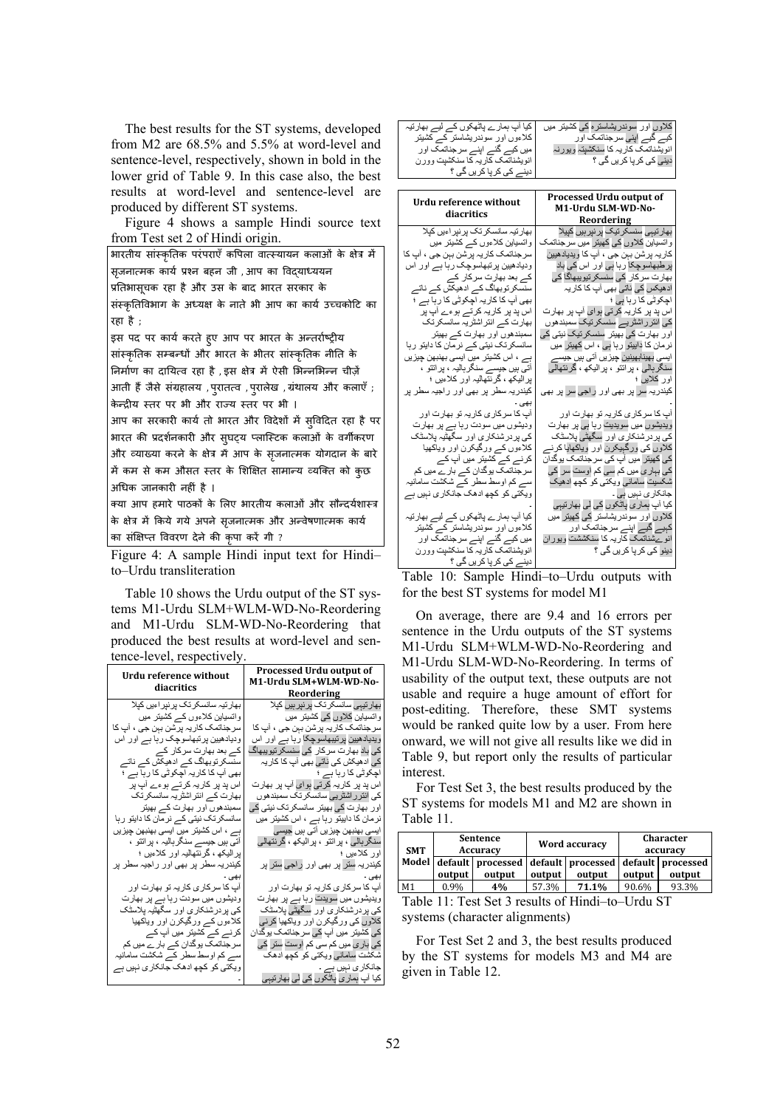The best results for the ST systems, developed from M2 are 68.5% and 5.5% at word-level and sentence-level, respectively, shown in bold in the lower grid of Table 9. In this case also, the best results at word-level and sentence-level are produced by different ST systems.

Figure 4 shows a sample Hindi source text from Test set 2 of Hindi origin.

| भारतीय सांस्कृतिक परंपराएँ कपिला वात्स्यायन कलाओं के क्षेत्र में |
|------------------------------------------------------------------|
| सृजनात्मक कार्य प्रश्न बहन जी ,आप का विद्याध्ययन                 |
| प्रतिभासूचक रहा है और उस के बाद भारत सरकार के                    |
| संस्कृतिविभाग के अध्यक्ष के नाते भी आप का कार्य उच्चकोटि का      |
| रहा है :                                                         |
| इस पद पर कार्य करते हुए आप पर भारत के अन्तर्राष्ट्रीय            |
| सांस्कृतिक सम्बन्धों और भारत के भीतर सांस्कृतिक नीति के          |
| निर्माण का दायित्व रहा है ,इस क्षेत्र में ऐसी भिन्नभिन्न चीज़ें  |
| आती हैं जैसे संग्रहालय ,पुरातत्व ,पुरालेख ,ग्रंथालय और कलाएँ ;   |
| केन्द्रीय स्तर पर भी और राज्य स्तर पर भी ।                       |
| आप का सरकारी कार्य तो भारत और विदेशों में स्विदित रहा है पर      |
| भारत की प्रदर्शनकारी और सुघट्य प्लास्टिक कलाओं के वर्गीकरण       |
| और व्याख्या करने के क्षेत्र में आप के सृजनात्मक योगदान के बारे   |
| में कम से कम औसत स्तर के शिक्षित सामान्य व्यक्ति को कुछ          |
| अधिक जानकारी नहीं है ।                                           |
| क्या आप हमारे पाठकों के लिए भारतीय कलाओं और सौन्दर्यशास्त्र      |
| के क्षेत्र में किये गये अपने सृजनात्मक और अन्वेषणात्मक कार्य     |
| का संक्षिप्त विवरण देने की कृपा करें गी ?                        |

Figure 4: A sample Hindi input text for Hindi– to–Urdu transliteration

Table 10 shows the Urdu output of the ST systems M1-Urdu SLM+WLM-WD-No-Reordering and M1-Urdu SLM-WD-No-Reordering that produced the best results at word-level and sentence-level, respectively.

| Urdu reference without                     | Processed Urdu output of                                |
|--------------------------------------------|---------------------------------------------------------|
| diacritics                                 | M1-Urdu SLM+WLM-WD-No-<br>Reordering                    |
| بهار تیہ سانسکر تک پر نیر اءیں کیلا        | بھار تیہی سانسکر تک پر نیر ہیں کیلا                     |
| واتسیاین کلاءوں کے کشیتر میں               | و انسپاین کلاوں کی کشیتر  میں                           |
| سر جناتمک کار یہ بر شن ببن جی ، اب کا      | سر جناتمک کار یہ بر شن بہن جی ، اب کا                   |
| ودیادھیین پر تبھاسوچک ر با ہے اور اس       | ویدیادھیین پرنیبھاسوچکا رہا ہے اور اس                   |
| کے بعد بھارت سرکار کے                      | کی باد بھار ت سر کار  کی سنسکر تیویبھاگ                 |
| ۔<br>سنسکر توبھاگ کے ادھیکش کے ناتے        | کی ادھیکش کی ناتی بھی اب کا کار پہ                      |
| بھی آپ کا کار یہ اچکوٹی کا رہا ہے ؛        | اچکوٹی کا رہا ہے ؛                                      |
| اس پد پر کار یہ کر تے ہو ءے اپ پر          | اس پد پر کار یہ کر تی ہوای آپ پر بھارت                  |
| بھارت کے انتر اشٹر یہ سانسکر تک            | کی انترر اشٹریی سانسکرتک سمبندھوں                       |
| سمبندھوں اور بھارت کے بھیتر                | اور بھارت کی بھیئر سانسکرتک نیٹی کی                     |
| سانسکر تک نیتی کے نرمان کا دایتو رہا       | نرمان کا دابیتو رہا ہے ، اس کشیتر میں                   |
| ہے ، اس کشیتر میں ایسی بھنبھن چیزیں        | ایسی بھنبھن جیز یں اتی ہیں جیسی                         |
| اتی ہیں جیسے سنگر ہالیہ ، پر انتو ،        | سنگرېالي ، پر اتتو ، پر اليکھ ، گرنتھالي                |
| بر الیکھ ، گرنتھالیہ اور کلاءیں ؛          | اور كلاءيں ؛                                            |
| کیندر یہ سطر پر بھی اور راجیہ سطر پر       | کیندریہ ستر پر بھی اور راجی ستر پر                      |
| اب کا سر کار ی کار یہ تو بھارت اور         | بهی ۰<br>آب کا سر کار ی کار یہ تو بھارت اور             |
| ودیشوں میں سودت ر با ہے پر بھارت           | ویدیشوں میں سویدت ر ہا ہے پر بھارت                      |
| کی پردرشنکاری اور سگهٹیہ پلاسٹک            | کی پر در شنکار ی اور سگھٹی پلاسٹک                       |
| كلاءوں كـــر ورگيكرن اور وياكهيا           | کلاوں کی ورگیکرن اور ویاکھیا کرنی                       |
| کر نے کے کشیتر میں آپ کے                   | کی کشیتر  میں آپ کی سر جناتمک ہو گدان                   |
| سرجناتمک پوگدان کے بار <sub>ے</sub> میں کم | کی بار ی میں کم سی کم اوست ستر کی                       |
| سے کم اوسط سطر کے شکشت سامانیہ             | شکشت سامانی ویکتی کو کچھ ادھک                           |
| ویکتی کو کچھ ادھک جانکار ی نبیں ہے         | جانکار ی نېيں ہے ۔                                      |
|                                            | کیا آپ ہمار <i>ی</i> پا <del>ٹ</del> کوں کی لی بھارتیہی |

| کیا اَپ ہمار ے پاٹھکوں کے لیے بھارتیہ | کلاوں اور سوندریشاستر مکے کشیتر میں |
|---------------------------------------|-------------------------------------|
| کلاءوں اور سوندریشاستر کے کشیتر       | گیے اپنی سرجناتمک اور               |
| میں کیے گئے اپنے سرجناتمک اور         | انویشناتمک کاریہ کا سنکشپتہ ویورنہ  |
| انویشناتمک کاریہ کا سنکشیت وورن       | دینی کی کر پا کریں گی ؟             |
| دینے کی کر یا کر یں گی ؟              |                                     |
|                                       |                                     |
|                                       |                                     |

|                                                                   | Processed Urdu output of                                 |
|-------------------------------------------------------------------|----------------------------------------------------------|
| Urdu reference without                                            | M1-Urdu SLM-WD-No-                                       |
| diacritics                                                        | Reordering                                               |
| بهار تیہ سانسکر تک پر نپر اءیں کپلا                               | ۔۔۔۔۔۔۔۔۔۔۔۔۔۔۔۔<br>بھار تیہی سنسکر تیک پر نپر ہیں کپیلا |
| وانسیاین کلاءوں کے کشیتر میں                                      | و اتسپاین کلاوں کی کھیتر_میں سر جناتمک                   |
| سر جناتمک کار یہ بر شن بہن جی ، آپ کا                             | کار یہ بر شن بہن جی ، آپ کا ویدیادھیین                   |
| ودیادھیین پر تبھاسوچک ر با ہے اور اس                              | پر طبھاسو چکا ر ہا ہی اور  اس کی باد                     |
| کے بعد بھار ت سر کار کے                                           | بھار ت سر کار  کی سنسکر نبو ببھاگا کی                    |
| سنسکر توبھاگ کے ادھیکش کے نات <sub>ے</sub>                        | ادھیکس کی ناتی بھی آپ کا کار یہ                          |
| بھی آپ کا کار یہ اچکوٹی کا ر ہا ہے ؛                              | اچکوٹی کا رہا ہے ؛                                       |
| اس پد پر کار پہ کر تـــر ہو ء ے اپ پر                             | اس بِد بِر کار یہ کر تی ہو ای اب بر  بھار ت              |
| بھارت کے انتر اشٹر یہ سانسکر تک                                   | کے انتر ر اشٹر پے سنسکر تیک سمبندھو ں                    |
| سمبندھوں اور بھارت کے بھیتر                                       | اور بھارت کی بھیتر سنسکر تیک نیتی کی                     |
| سانسکر تک نیتی کے نرمان کا دایتو ر ہا                             | نر مان کا دابینو ر با ہے ، اس کھینر میں                  |
| ہے ، اس کشیتر میں ایسی بھنبھن چیز یں                              | ایس <i>ی</i> بھینابھینین چیز یں آتی ہیں جیسے             |
| آتی ہیں جیسے سنگر ہالیہ ، پر اتتو ،                               | سنگرېالي ، پراتتو ، پراليکھ ، گرنتھالي                   |
| بر الیکھ ، گر نتھالیہ اور کلاءیں ؛                                | اور كلايں ؛                                              |
| کیندر یہ سطر پر بھی اور راجیہ سطر پر                              | کیندر یہ سر پر بھی اور راجی سر پر بھی                    |
|                                                                   |                                                          |
| آپ کا سر کار ی کار یہ تو بھارت اور                                | اب کا سر کار ی کار یہ تو بھار ت اور                      |
| ودیشوں میں سودت ر با ہے پر بھارت                                  | ویدیشوں میں سویدیت ر با ہے پر بھار ت                     |
| کی پردرشنکاری اور سگهتیہ پلاسٹک                                   | کی پر در شنکار ی اور سگهڻي پلاسڻک                        |
| كلاءوں كـــر ورگيكرن اور وياكهيا                                  | کلاوں کی ورگبیکرن اور ویاکھایا کرنے                      |
| کر نے کے کشیتر میں آپ کے                                          | کی کھیئر_ میں آپ کی سر جناتمک ہو گدان                    |
| سرجناتمک پوگدان کے بار ے میں کم                                   | کی بہار ی میں کم سی کم اوست سر کی                        |
| سے کم اوسط سطر کے شکشت سامانیہ                                    | شکسیت سامانی ویکتی کو کچھ ادھیک                          |
| ویکتی کو کچھ ادھک جانکاری نہیں ہے                                 | جانکار ی نېيں ېې ـ                                       |
|                                                                   | کیا آپ ہمار ی پاٹکوں کی لی بھار تیہی                     |
| کیا اپ ہمار ے پاٹھکوں کے لیے بھارتیہ                              | کلاوں اور سوندریشاستر کی کھیتر میں                       |
| کلاءوں اور سوندریشاستر کے کشیتر                                   | کہیے گیے اپنے سرجناتمک اور                               |
| میں کیے گئے اپنے سرجناتمک اور<br>انویشناتمک کاریہ کا سنکشیت وور ن | انو ےشناتمک کاریہ کا سنکششت وپور ان                      |
|                                                                   | دینو کی کر یا کریں گی ؟                                  |
| <u>دینے کی کر پا کریں گی ؟</u><br>$100 \t 1 \t 11$<br>$-11$       | $\mathbf{r}$ $\mathbf{r}$ $\mathbf{r}$                   |

Table 10: Sample Hindi–to–Urdu outputs with for the best ST systems for model M1

On average, there are 9.4 and 16 errors per sentence in the Urdu outputs of the ST systems M1-Urdu SLM+WLM-WD-No-Reordering and M1-Urdu SLM-WD-No-Reordering. In terms of usability of the output text, these outputs are not usable and require a huge amount of effort for post-editing. Therefore, these SMT systems would be ranked quite low by a user. From here onward, we will not give all results like we did in Table 9, but report only the results of particular interest.

For Test Set 3, the best results produced by the ST systems for models M1 and M2 are shown in Table 11.

| <b>SMT</b>                                                          | <b>Sentence</b><br>Accuracy |        | Word accuracy |                                                                       |        | <b>Character</b><br>accuracy |
|---------------------------------------------------------------------|-----------------------------|--------|---------------|-----------------------------------------------------------------------|--------|------------------------------|
|                                                                     | output                      | output | output        | Model default processed default processed default processed<br>output | output | output                       |
| M1                                                                  | 0.9%                        | 4%     | 57.3%         | 71.1%                                                                 | 90.6%  | 93.3%                        |
| Toble 11: Tost $\mathcal{Q}_{\alpha t}$ cosults of Hindi to Urdu CT |                             |        |               |                                                                       |        |                              |

Table 11: Test Set 3 results of Hindi–to–Urdu ST systems (character alignments)

For Test Set 2 and 3, the best results produced by the ST systems for models M3 and M4 are given in Table 12.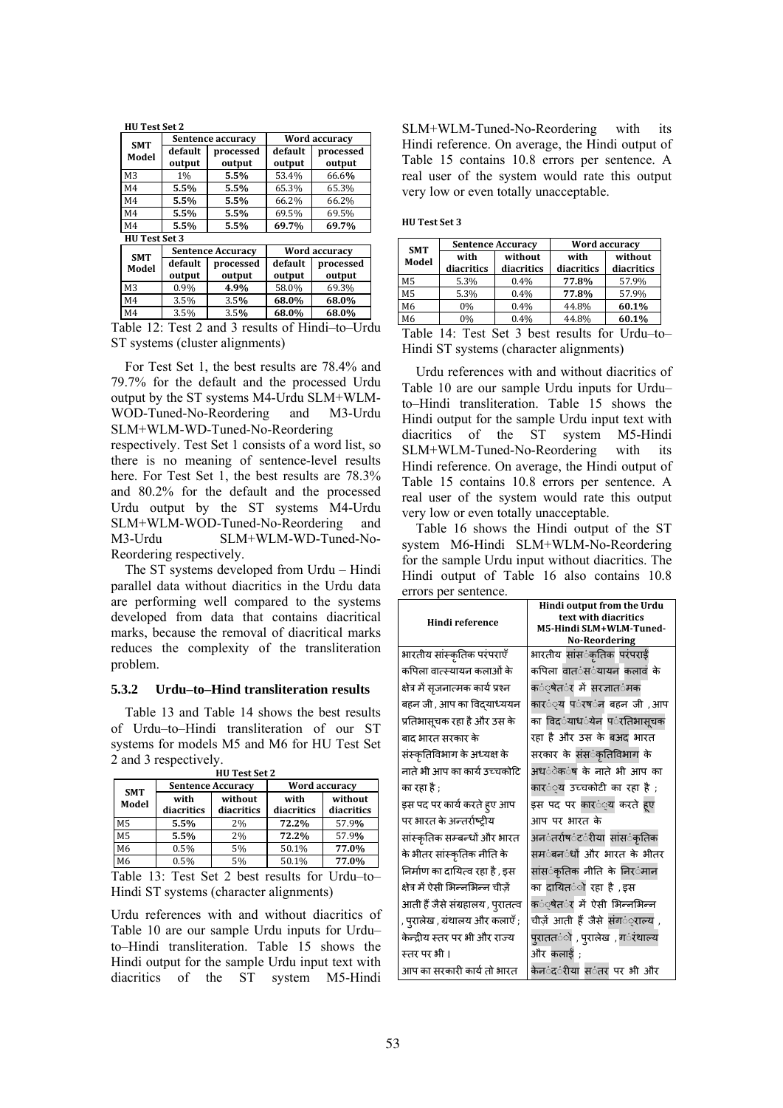| <b>SMT</b>           | Sentence accuracy |                     |                   | <b>Word accuracy</b> |
|----------------------|-------------------|---------------------|-------------------|----------------------|
| Model                | default<br>output | processed<br>output | default<br>output | processed<br>output  |
| M <sub>3</sub>       | 1%                | 5.5%                | 53.4%             | 66.6%                |
| M <sub>4</sub>       | 5.5%              | 5.5%                | 65.3%             | 65.3%                |
| M <sub>4</sub>       | 5.5%              | 5.5%                | 66.2%             | 66.2%                |
| M <sub>4</sub>       | 5.5%              | 5.5%                | 69.5%             | 69.5%                |
| M <sub>4</sub>       | 5.5%              | 5.5%                | 69.7%             | 69.7%                |
| <b>HU Test Set 3</b> |                   |                     |                   |                      |
|                      | Sentence Accuracy |                     |                   | Word accuracy        |

| <b>SMT</b>     | <b>Sentence Accuracy</b> |                     |                   | Word accuracy       |
|----------------|--------------------------|---------------------|-------------------|---------------------|
| Model          | default<br>output        | processed<br>output | default<br>output | processed<br>output |
| M <sub>3</sub> | 0.9%                     | 4.9%                | 58.0%             | 69.3%               |
| M <sub>4</sub> | 3.5%                     | 3.5%                | 68.0%             | 68.0%               |
| M <sub>4</sub> | 3.5%                     | 3.5%                | 68.0%             | 68.0%               |

Table 12: Test 2 and 3 results of Hindi–to–Urdu ST systems (cluster alignments)

For Test Set 1, the best results are 78.4% and 79.7% for the default and the processed Urdu output by the ST systems M4-Urdu SLM+WLM-WOD-Tuned-No-Reordering and M3-Urdu SLM+WLM-WD-Tuned-No-Reordering

respectively. Test Set 1 consists of a word list, so there is no meaning of sentence-level results here. For Test Set 1, the best results are  $78.3\%$ and 80.2% for the default and the processed Urdu output by the ST systems M4-Urdu SLM+WLM-WOD-Tuned-No-Reordering and M3-Urdu SLM+WLM-WD-Tuned-No-Reordering respectively.

The ST systems developed from Urdu – Hindi parallel data without diacritics in the Urdu data are performing well compared to the systems developed from data that contains diacritical marks, because the removal of diacritical marks reduces the complexity of the transliteration problem.

#### **5.3.2 Urdu–to–Hind transliteration results**

Table 13 and Table 14 shows the best results of Urdu–to–Hindi transliteration of our ST systems for models M5 and M6 for HU Test Set 2 and 3 respectively.

| <b>HU Test Set 2</b> |                          |                       |                    |                       |
|----------------------|--------------------------|-----------------------|--------------------|-----------------------|
|                      | <b>Sentence Accuracy</b> |                       | Word accuracy      |                       |
| <b>SMT</b><br>Model  | with<br>diacritics       | without<br>diacritics | with<br>diacritics | without<br>diacritics |
| M <sub>5</sub>       | 5.5%                     | 2%                    | 72.2%              | 57.9%                 |
| M <sub>5</sub>       | 5.5%                     | 2%                    | 72.2%              | 57.9%                 |
| M <sub>6</sub>       | 0.5%                     | 5%                    | 50.1%              | 77.0%                 |
| M6                   | 0.5%                     | 5%                    | 50.1%              | 77.0%                 |

Table 13: Test Set 2 best results for Urdu–to– Hindi ST systems (character alignments)

Urdu references with and without diacritics of Table 10 are our sample Urdu inputs for Urdu– to–Hindi transliteration. Table 15 shows the Hindi output for the sample Urdu input text with diacritics of the ST system M5-Hindi SLM+WLM-Tuned-No-Reordering with its Hindi reference. On average, the Hindi output of Table 15 contains 10.8 errors per sentence. A real user of the system would rate this output very low or even totally unacceptable.

**HU Test Set 3**

| <b>SMT</b>     | <b>Sentence Accuracy</b> |                       | Word accuracy      |                       |
|----------------|--------------------------|-----------------------|--------------------|-----------------------|
| Model          | with<br>diacritics       | without<br>diacritics | with<br>diacritics | without<br>diacritics |
| M <sub>5</sub> | 5.3%                     | 0.4%                  | 77.8%              | 57.9%                 |
| M <sub>5</sub> | 5.3%                     | 0.4%                  | 77.8%              | 57.9%                 |
| M6             | 0%                       | 0.4%                  | 44.8%              | 60.1%                 |
| M6             | 0%                       | 0.4%                  | 44.8%              | 60.1%                 |

Table 14: Test Set 3 best results for Urdu–to– Hindi ST systems (character alignments)

Urdu references with and without diacritics of Table 10 are our sample Urdu inputs for Urdu– to–Hindi transliteration. Table 15 shows the Hindi output for the sample Urdu input text with diacritics of the ST system M5-Hindi SLM+WLM-Tuned-No-Reordering with its Hindi reference. On average, the Hindi output of Table 15 contains 10.8 errors per sentence. A real user of the system would rate this output very low or even totally unacceptable.

Table 16 shows the Hindi output of the ST system M6-Hindi SLM+WLM-No-Reordering for the sample Urdu input without diacritics. The Hindi output of Table 16 also contains 10.8 errors per sentence.

| Hindi reference                    | Hindi output from the Urdu<br>text with diacritics<br>M5-Hindi SLM+WLM-Tuned-<br><b>No-Reordering</b> |
|------------------------------------|-------------------------------------------------------------------------------------------------------|
| भारतीय सांस्कृतिक परंपराएँ         | भारतीय सांसर्ंकृतिक परंपराई                                                                           |
| कपिला वात्स्यायन कलाओं के          | कपिला वात <b>ंस</b> ंयायन कलावं के                                                                    |
| क्षेत्र में सृजनात्मक कार्य प्रश्न | क <b>ं्षेत</b> ंर में सरज्ञात <b>ंमक</b>                                                              |
| बहन जी , आप का विद्याध्ययन         | कार <b>ं्य प</b> ंरष <b>ंन बहन जी</b> ,आप                                                             |
| प्रतिभासूचक रहा है और उस के        | का विदर्ंयाधर्ंयेन पर्ंरतिभासूचक                                                                      |
| बाद भारत सरकार के                  | रहा है और उस के बअद भारत                                                                              |
| संस्कृतिविभाग के अध्यक्ष के        | सरकार के संस <b>ंकृतिविभाग</b> के                                                                     |
| नाते भी आप का कार्य उच्चकोटि       | अध <b>ंेक</b> ंष के नाते भी आप का                                                                     |
| का रहा है :                        | कार <b>ं्य उच्चकोटी का रहा है</b> ;                                                                   |
| इस पद पर कार्य करते हुए आप         | इस पद पर कार <b>ं्य करते</b> हुए                                                                      |
| पर भारत के अन्तर्राष्ट्रीय         | आप पर भारत के                                                                                         |
| सांस्कृतिक सम्बन्धों और भारत       | अन <b>ंतर्राष</b> ंट <b>ंरीया सांस</b> ंकृतिक                                                         |
| के भीतर सांस्कृतिक नीति के         | सम <b>ंबन</b> ंधों और भारत के भीतर                                                                    |
| निर्माण का दायित्व रहा है , इस     | सांस <b>ंकृतिक नीति के निर</b> ंमान                                                                   |
| क्षेत्र में ऐसी भिन्नभिन्न चीजें   | का दायित <b>ं</b> ो रहा है , इस                                                                       |
| आती हैं जैसे संग्रहालय , पुरातत्व  | क <b>ं</b> ्षेत <b>ंर में ऐसी भिन्नभिन्न</b>                                                          |
| , पुरालेख , ग्रंथालय और कलाएँ ;    | चीज़ें आती हैं जैसे संग <b>ं</b> ्राल्य ,                                                             |
| केन्द्रीय स्तर पर भी और राज्य      | पुराततर्ंो , पुरालेख), गर्इथाल्य                                                                      |
| स्तर पर भी ।                       | और कलाई ;                                                                                             |
| आप का सरकारी कार्य तो भारत         | केन <b>ंद</b> ंरीया स <b>ंतर पर भी</b> और                                                             |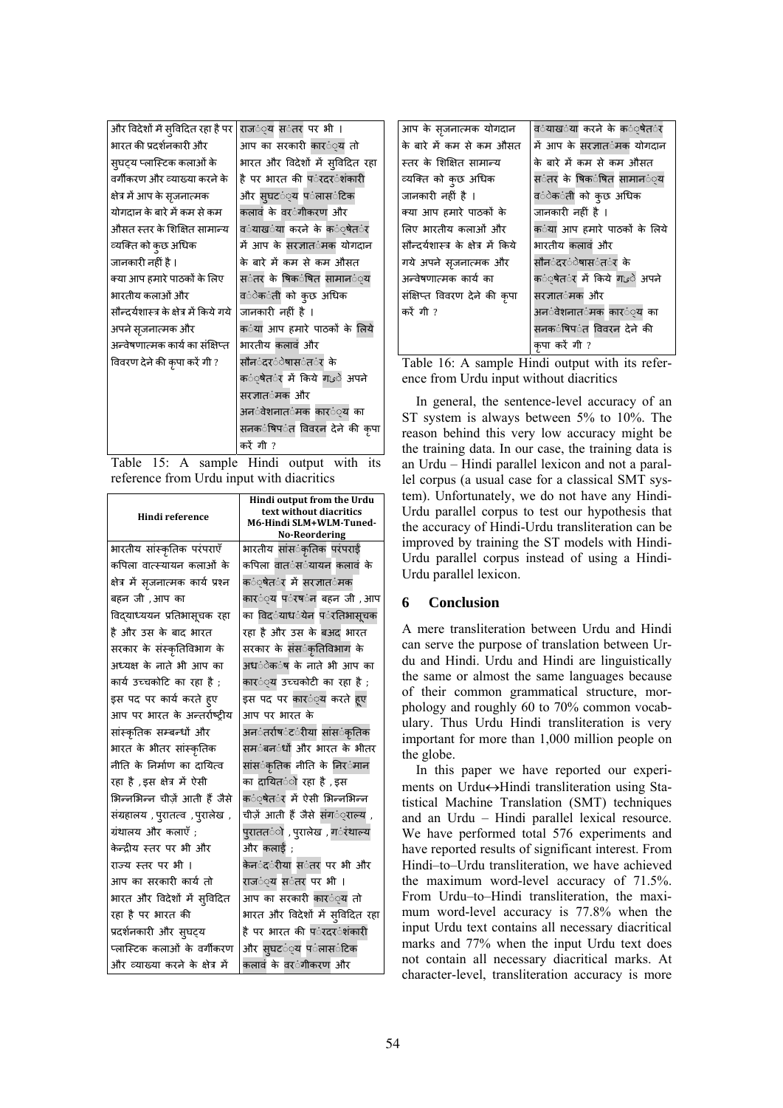| और विदेशों में सुविदित रहा है पर        | राज <b>ं्य स</b> ंतर पर भी ।                         |
|-----------------------------------------|------------------------------------------------------|
| भारत की प्रदर्शनकारी और                 | आप का सरकारी <mark>कार</mark> ं्य तो                 |
| स्घट्य प्लास्टिक कलाओं के               | भारत और विदेशों में सुविदित रहा                      |
| वर्गीकरण और व्याख्या करने के            | है पर भारत की प <b>ंरदर</b> ंशंकारी                  |
| क्षेत्र में आप के सृजनात्मक             | और स्घटरं्य पर्वलासर्वटिक                            |
| योगदान के बारे में कम से कम             | कलावं के वर <b>ंगीकरण औ</b> र                        |
| औसत स्तर के शिक्षित सामान्य             | व <b>ंयाख</b> ंया करने के क <b>ं</b> ्षेत <b>ं</b> र |
| व्यक्ति को कुछ अधिक                     | में आप के सरज्ञात <b>ंमक योगदा</b> न                 |
| जानकारी नहीं है ।                       | के बारे में कम से कम औसत                             |
| क्या आप हमारे पाठकों के लिए             | स <b>ंतर के षिक</b> ंषित सामान <b>ं्य</b>            |
| भारतीय कलाओं और                         | व <b>ंेक</b> ंती को क्छ अधिक                         |
| सौन्दर्यशास्त्र के क्षेत्र में किये गये | जानकारी नहीं है ।                                    |
| अपने सृजनात्मक और                       | क <b>ंया आप हमारे पाठकों के लिये</b>                 |
| अन्वेषणात्मक कार्य का संक्षिप्त         | भारतीय कलावं और                                      |
| विवरण देने की कृपा करें गी ?            | सौनरदर <b>ंेषास</b> ंत <b>ंर</b> के                  |
|                                         | क <b>ं़षेत</b> ंर में किये ग $\omega$ े अपने         |
|                                         | सरजात <b>ंमक औ</b> र                                 |
|                                         | अनर्वेशनातर्कमक कार <b>ं्य</b> का                    |
|                                         | सनक <b>ंषिप</b> ंत विवरन देने की कृपा                |
|                                         | करें गी ?                                            |

Table 15: A sample Hindi output with its reference from Urdu input with diacritics

| Hindi reference                    | Hindi output from the Urdu<br>text without diacritics<br>M6-Hindi SLM+WLM-Tuned- |
|------------------------------------|----------------------------------------------------------------------------------|
|                                    | <b>No-Reordering</b>                                                             |
| भारतीय सांस्कृतिक परंपराएँ         | भारतीय सांस <b>ंकृतिक परंपराई</b>                                                |
| कपिला वात्स्यायन कलाओं के          | कपिला वात <b>ंस</b> ंयायन कलावं के                                               |
| क्षेत्र में सृजनात्मक कार्य प्रश्न | क <b>ं्षेत</b> ंर में सरज्ञात <b>ंमक</b>                                         |
| बहन जी .आप का                      | कार <b>ं</b> ्य प <b>ंरष</b> ंन बहन जी ,आप                                       |
| विदयाध्ययन प्रतिभासूचक रहा         | का विदर्ंयाधर्ंयेन पर्ंरतिभासूचक                                                 |
| है और उस के बाद भारत               | रहा है और उस के बअद भारत                                                         |
| सरकार के संस्कृतिविभाग के          | सरकार के संस <b>ंकृतिविभाग</b> के                                                |
| अध्यक्ष के नाते भी आप का           | अध <b>ंेक</b> ंष के नाते भी आप का                                                |
| कार्य उच्चकोटि का रहा है :         | कार <b>ं</b> ्य उच्चकोटी का रहा है :                                             |
| इस पद पर कार्य करते हुए            | इस पद पर कार <b>ं्य करते हु</b> ए                                                |
| आप पर भारत के अन्तर्राष्टीय        | आप पर भारत के                                                                    |
| सांस्कृतिक सम्बन्धों और            | अनर्ंतर्राषर्ंटर्ीया सांसर्ंकृतिक                                                |
| भारत के भीतर सांस्कृतिक            | सम <b>ंबन</b> ंधों और भारत के भीतर                                               |
| नीति के निर्माण का दायित्व         | सांस <b>ंकृतिक नीति के निर</b> ंमान                                              |
| रहा है ,इस क्षेत्र में ऐसी         | का दायित <b>ं</b> ो रहा है ,इस                                                   |
| भिन्नभिन्न चीज़ें आती हैं जैसे     | क <b>ं</b> ्षेत <b>ंर में ऐसी भिन्नभिन्न</b>                                     |
| संग्रहालय, पुरातत्व, पुरालेख,      | चीजें आती हैं जैसे संग <b>ं</b> ालय ,                                            |
| ग्रंथालय और कलाएँ :                | प् <b>रातत</b> ंो , प् <b>रालेख</b> , ग <b>ंरंथाल्य</b>                          |
| केन्दीय स्तर पर भी और              | और कलाई :                                                                        |
| राज्य स्तर पर भी ।                 | केन <b>ंद</b> ंरीया स <b>ंतर पर भी</b> और                                        |
| आप का सरकारी कार्य तो              | राज <b>ं</b> ्य स <b>ंतर पर भी</b> ।                                             |
| भारत और विदेशों में स्विदित        | आप का सरकारी कार <b>ं</b> ्य तो                                                  |
| रहा है पर भारत की                  | भारत और विदेशों में सुविदित रहा                                                  |
| प्रदर्शनकारी और स् <b>घट्</b> य    | है पर भारत की प <b>ंरदर</b> ंशंकारी                                              |
| प्लास्टिक कलाओं के वर्गीकरण        | और स्घट <b>ं</b> ्य प <b>ंलास</b> ंटिक                                           |
| और व्याख्या करने के क्षेत्र में    | कलावं के वर <b>ंगीकरण औ</b> र                                                    |

| आप के सृजनात्मक योगदान              | व <b>ंयाख</b> ंया करने के क <b>ं्षेत</b> ंर |
|-------------------------------------|---------------------------------------------|
| के बारे में कम से कम औसत            | में आप के सरज्ञात <b>ंमक योगदा</b> न        |
| स्तर के शिक्षित सामान्य             | के बारे में कम से कम औसत                    |
| व्यक्ति को कुछ अधिक                 | स <b>ंतर के षिक</b> ंषित सामान <b>ं</b> ्य  |
| जानकारी नहीं है ।                   | व <b>ंेक</b> ंती को कछ अधिक                 |
| क्या आप हमारे पाठकों के             | जानकारी नहीं है ।                           |
| लिए भारतीय कलाओं और                 | क <b>ंया आप हमारे पाठकों के लिये</b>        |
| सौन्दर्यशास्त्र के क्षेत्र में किये | भारतीय कलावं और                             |
| गये अपने सृजनात्मक और               | सौन <b>ंदर</b> ंेषास <b>ंत</b> ंर के        |
| अन्वेषणात्मक कार्य का               | क <b>ंषेत</b> ंर में किये ग $\omega$ े अपने |
| संक्षिप्त विवरण देने की कृपा        | सरज्ञात <b>ंमक औ</b> र                      |
| करें गी ?                           | अन <b>ंवेशनात</b> ंमक कार <b>ं</b> ्य का    |
|                                     | सनकर्णिपर्वत विवरन देने की                  |
|                                     | कपा करें गी ?                               |

Table 16: A sample Hindi output with its reference from Urdu input without diacritics

In general, the sentence-level accuracy of an ST system is always between 5% to 10%. The reason behind this very low accuracy might be the training data. In our case, the training data is an Urdu – Hindi parallel lexicon and not a parallel corpus (a usual case for a classical SMT system). Unfortunately, we do not have any Hindi-Urdu parallel corpus to test our hypothesis that the accuracy of Hindi-Urdu transliteration can be improved by training the ST models with Hindi-Urdu parallel corpus instead of using a Hindi-Urdu parallel lexicon.

### **6 Conclusion**

A mere transliteration between Urdu and Hindi can serve the purpose of translation between Urdu and Hindi. Urdu and Hindi are linguistically the same or almost the same languages because of their common grammatical structure, morphology and roughly 60 to 70% common vocabulary. Thus Urdu Hindi transliteration is very important for more than 1,000 million people on the globe.

In this paper we have reported our experiments on Urdu $\leftrightarrow$ Hindi transliteration using Statistical Machine Translation (SMT) techniques and an Urdu – Hindi parallel lexical resource. We have performed total 576 experiments and have reported results of significant interest. From Hindi–to–Urdu transliteration, we have achieved the maximum word-level accuracy of 71.5%. From Urdu–to–Hindi transliteration, the maximum word-level accuracy is 77.8% when the input Urdu text contains all necessary diacritical marks and 77% when the input Urdu text does not contain all necessary diacritical marks. At character-level, transliteration accuracy is more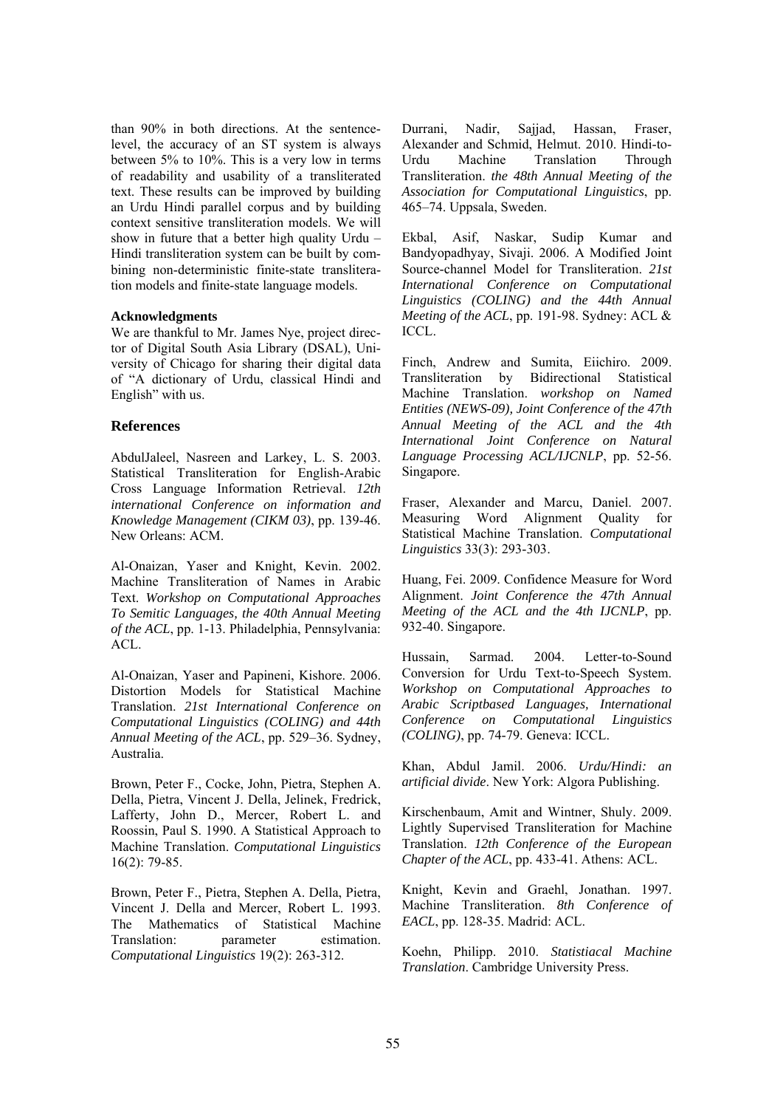than 90% in both directions. At the sentencelevel, the accuracy of an ST system is always between 5% to 10%. This is a very low in terms of readability and usability of a transliterated text. These results can be improved by building an Urdu Hindi parallel corpus and by building context sensitive transliteration models. We will show in future that a better high quality Urdu – Hindi transliteration system can be built by combining non-deterministic finite-state transliteration models and finite-state language models.

#### **Acknowledgments**

We are thankful to Mr. James Nye, project director of Digital South Asia Library (DSAL), University of Chicago for sharing their digital data of "A dictionary of Urdu, classical Hindi and English" with us.

# **References**

AbdulJaleel, Nasreen and Larkey, L. S. 2003. Statistical Transliteration for English-Arabic Cross Language Information Retrieval. *12th international Conference on information and Knowledge Management (CIKM 03)*, pp. 139-46. New Orleans: ACM.

Al-Onaizan, Yaser and Knight, Kevin. 2002. Machine Transliteration of Names in Arabic Text. *Workshop on Computational Approaches To Semitic Languages, the 40th Annual Meeting of the ACL*, pp. 1-13. Philadelphia, Pennsylvania: ACL.

Al-Onaizan, Yaser and Papineni, Kishore. 2006. Distortion Models for Statistical Machine Translation. *21st International Conference on Computational Linguistics (COLING) and 44th Annual Meeting of the ACL*, pp. 529–36. Sydney, Australia.

Brown, Peter F., Cocke, John, Pietra, Stephen A. Della, Pietra, Vincent J. Della, Jelinek, Fredrick, Lafferty, John D., Mercer, Robert L. and Roossin, Paul S. 1990. A Statistical Approach to Machine Translation. *Computational Linguistics*  16(2): 79-85.

Brown, Peter F., Pietra, Stephen A. Della, Pietra, Vincent J. Della and Mercer, Robert L. 1993. The Mathematics of Statistical Machine Translation: parameter estimation. *Computational Linguistics* 19(2): 263-312.

Durrani, Nadir, Sajjad, Hassan, Fraser, Alexander and Schmid, Helmut. 2010. Hindi-to-Urdu Machine Translation Through Transliteration. *the 48th Annual Meeting of the Association for Computational Linguistics*, pp. 465–74. Uppsala, Sweden.

Ekbal, Asif, Naskar, Sudip Kumar and Bandyopadhyay, Sivaji. 2006. A Modified Joint Source-channel Model for Transliteration. *21st International Conference on Computational Linguistics (COLING) and the 44th Annual Meeting of the ACL*, pp. 191-98. Sydney: ACL & ICCL.

Finch, Andrew and Sumita, Eiichiro. 2009. Transliteration by Bidirectional Statistical Machine Translation. *workshop on Named Entities (NEWS-09), Joint Conference of the 47th Annual Meeting of the ACL and the 4th International Joint Conference on Natural Language Processing ACL/IJCNLP*, pp. 52-56. Singapore.

Fraser, Alexander and Marcu, Daniel. 2007. Measuring Word Alignment Quality for Statistical Machine Translation. *Computational Linguistics* 33(3): 293-303.

Huang, Fei. 2009. Confidence Measure for Word Alignment. *Joint Conference the 47th Annual Meeting of the ACL and the 4th IJCNLP*, pp. 932-40. Singapore.

Hussain, Sarmad. 2004. Letter-to-Sound Conversion for Urdu Text-to-Speech System. *Workshop on Computational Approaches to Arabic Scriptbased Languages, International Conference on Computational Linguistics (COLING)*, pp. 74-79. Geneva: ICCL.

Khan, Abdul Jamil. 2006. *Urdu/Hindi: an artificial divide*. New York: Algora Publishing.

Kirschenbaum, Amit and Wintner, Shuly. 2009. Lightly Supervised Transliteration for Machine Translation. *12th Conference of the European Chapter of the ACL*, pp. 433-41. Athens: ACL.

Knight, Kevin and Graehl, Jonathan. 1997. Machine Transliteration. *8th Conference of EACL*, pp. 128-35. Madrid: ACL.

Koehn, Philipp. 2010. *Statistiacal Machine Translation*. Cambridge University Press.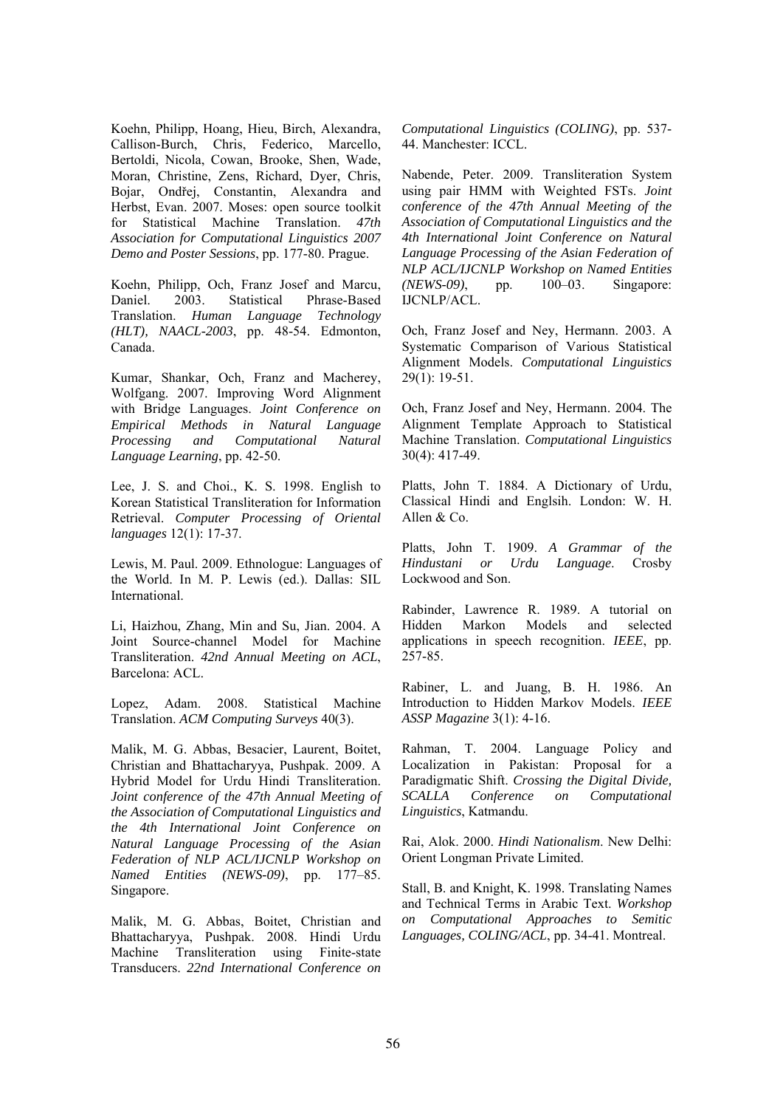Koehn, Philipp, Hoang, Hieu, Birch, Alexandra, Callison-Burch, Chris, Federico, Marcello, Bertoldi, Nicola, Cowan, Brooke, Shen, Wade, Moran, Christine, Zens, Richard, Dyer, Chris, Bojar, Ondřej, Constantin, Alexandra and Herbst, Evan. 2007. Moses: open source toolkit for Statistical Machine Translation. *47th Association for Computational Linguistics 2007 Demo and Poster Sessions*, pp. 177-80. Prague.

Koehn, Philipp, Och, Franz Josef and Marcu, Daniel. 2003. Statistical Phrase-Based Translation. *Human Language Technology (HLT), NAACL-2003*, pp. 48-54. Edmonton, Canada.

Kumar, Shankar, Och, Franz and Macherey, Wolfgang. 2007. Improving Word Alignment with Bridge Languages. *Joint Conference on Empirical Methods in Natural Language Processing and Computational Natural Language Learning*, pp. 42-50.

Lee, J. S. and Choi., K. S. 1998. English to Korean Statistical Transliteration for Information Retrieval. *Computer Processing of Oriental languages* 12(1): 17-37.

Lewis, M. Paul. 2009. Ethnologue: Languages of the World. In M. P. Lewis (ed.). Dallas: SIL International.

Li, Haizhou, Zhang, Min and Su, Jian. 2004. A Joint Source-channel Model for Machine Transliteration. *42nd Annual Meeting on ACL*, Barcelona: ACL.

Lopez, Adam. 2008. Statistical Machine Translation. *ACM Computing Surveys* 40(3).

Malik, M. G. Abbas, Besacier, Laurent, Boitet, Christian and Bhattacharyya, Pushpak. 2009. A Hybrid Model for Urdu Hindi Transliteration. *Joint conference of the 47th Annual Meeting of the Association of Computational Linguistics and the 4th International Joint Conference on Natural Language Processing of the Asian Federation of NLP ACL/IJCNLP Workshop on Named Entities (NEWS-09)*, pp. 177–85. Singapore.

Malik, M. G. Abbas, Boitet, Christian and Bhattacharyya, Pushpak. 2008. Hindi Urdu Machine Transliteration using Finite-state Transducers. *22nd International Conference on*  *Computational Linguistics (COLING)*, pp. 537- 44. Manchester: ICCL.

Nabende, Peter. 2009. Transliteration System using pair HMM with Weighted FSTs. *Joint conference of the 47th Annual Meeting of the Association of Computational Linguistics and the 4th International Joint Conference on Natural Language Processing of the Asian Federation of NLP ACL/IJCNLP Workshop on Named Entities (NEWS-09)*, pp. 100–03. Singapore: IJCNLP/ACL.

Och, Franz Josef and Ney, Hermann. 2003. A Systematic Comparison of Various Statistical Alignment Models. *Computational Linguistics*  29(1): 19-51.

Och, Franz Josef and Ney, Hermann. 2004. The Alignment Template Approach to Statistical Machine Translation. *Computational Linguistics*  30(4): 417-49.

Platts, John T. 1884. A Dictionary of Urdu, Classical Hindi and Englsih. London: W. H. Allen & Co.

Platts, John T. 1909. *A Grammar of the Hindustani or Urdu Language*. Crosby Lockwood and Son.

Rabinder, Lawrence R. 1989. A tutorial on Hidden Markon Models and selected applications in speech recognition. *IEEE*, pp. 257-85.

Rabiner, L. and Juang, B. H. 1986. An Introduction to Hidden Markov Models. *IEEE ASSP Magazine* 3(1): 4-16.

Rahman, T. 2004. Language Policy and Localization in Pakistan: Proposal for a Paradigmatic Shift. *Crossing the Digital Divide, SCALLA Conference on Computational Linguistics*, Katmandu.

Rai, Alok. 2000. *Hindi Nationalism*. New Delhi: Orient Longman Private Limited.

Stall, B. and Knight, K. 1998. Translating Names and Technical Terms in Arabic Text. *Workshop on Computational Approaches to Semitic Languages, COLING/ACL*, pp. 34-41. Montreal.